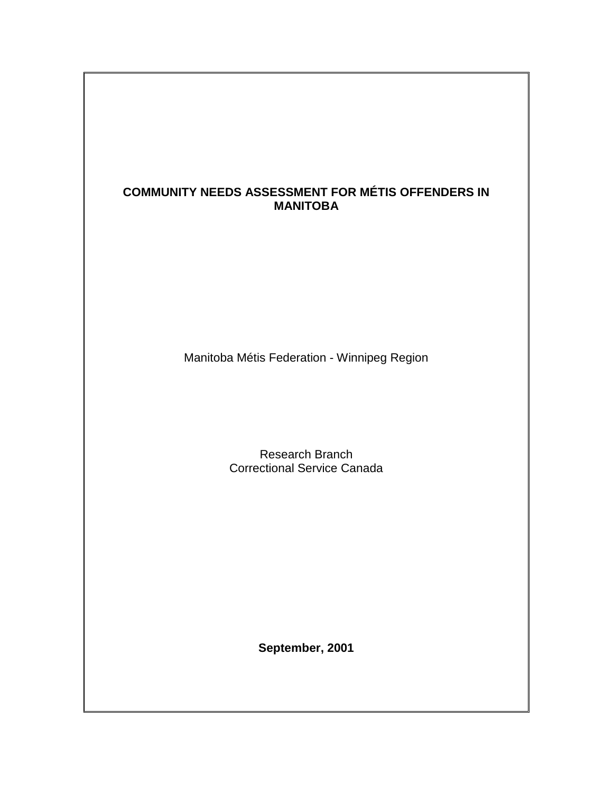# **COMMUNITY NEEDS ASSESSMENT FOR MÉTIS OFFENDERS IN MANITOBA**

Manitoba Métis Federation - Winnipeg Region

Research Branch Correctional Service Canada

**September, 2001**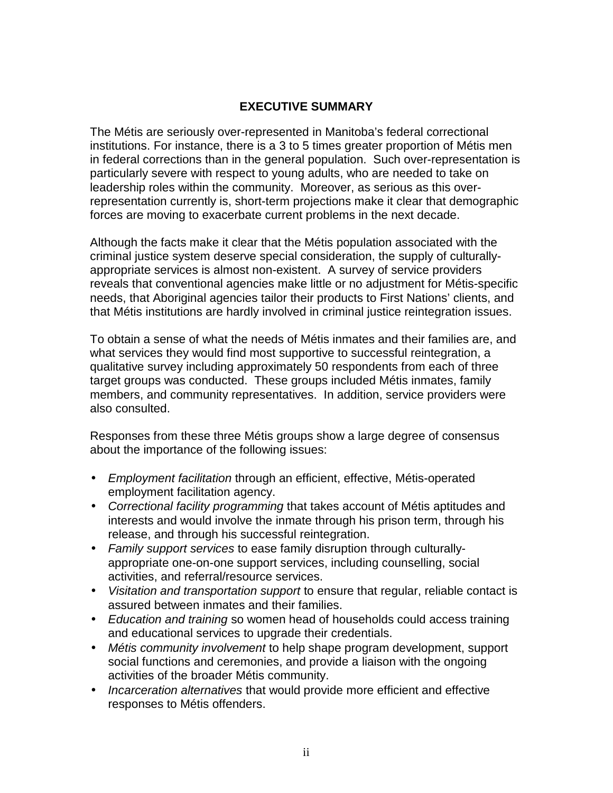## **EXECUTIVE SUMMARY**

<span id="page-1-0"></span>The Métis are seriously over-represented in Manitoba's federal correctional institutions. For instance, there is a 3 to 5 times greater proportion of Métis men in federal corrections than in the general population. Such over-representation is particularly severe with respect to young adults, who are needed to take on leadership roles within the community. Moreover, as serious as this overrepresentation currently is, short-term projections make it clear that demographic forces are moving to exacerbate current problems in the next decade.

Although the facts make it clear that the Métis population associated with the criminal justice system deserve special consideration, the supply of culturallyappropriate services is almost non-existent. A survey of service providers reveals that conventional agencies make little or no adjustment for Métis-specific needs, that Aboriginal agencies tailor their products to First Nations' clients, and that Métis institutions are hardly involved in criminal justice reintegration issues.

To obtain a sense of what the needs of Métis inmates and their families are, and what services they would find most supportive to successful reintegration, a qualitative survey including approximately 50 respondents from each of three target groups was conducted. These groups included Métis inmates, family members, and community representatives. In addition, service providers were also consulted.

Responses from these three Métis groups show a large degree of consensus about the importance of the following issues:

- *Employment facilitation* through an efficient, effective, Métis-operated employment facilitation agency.
- *Correctional facility programming* that takes account of Métis aptitudes and interests and would involve the inmate through his prison term, through his release, and through his successful reintegration.
- *Family support services* to ease family disruption through culturallyappropriate one-on-one support services, including counselling, social activities, and referral/resource services.
- *Visitation and transportation support* to ensure that regular, reliable contact is assured between inmates and their families.
- *Education and training* so women head of households could access training and educational services to upgrade their credentials.
- *Métis community involvement* to help shape program development, support social functions and ceremonies, and provide a liaison with the ongoing activities of the broader Métis community.
- *Incarceration alternatives* that would provide more efficient and effective responses to Métis offenders.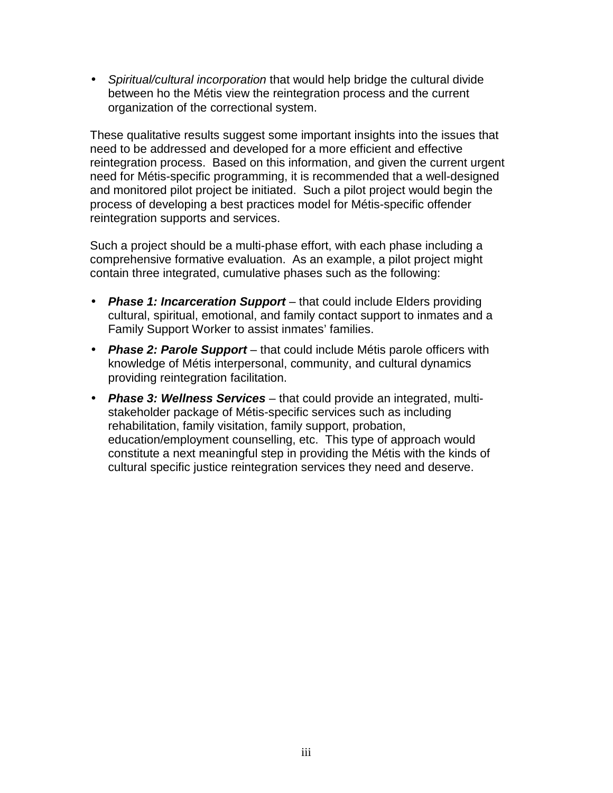• *Spiritual/cultural incorporation* that would help bridge the cultural divide between ho the Métis view the reintegration process and the current organization of the correctional system.

These qualitative results suggest some important insights into the issues that need to be addressed and developed for a more efficient and effective reintegration process. Based on this information, and given the current urgent need for Métis-specific programming, it is recommended that a well-designed and monitored pilot project be initiated. Such a pilot project would begin the process of developing a best practices model for Métis-specific offender reintegration supports and services.

Such a project should be a multi-phase effort, with each phase including a comprehensive formative evaluation. As an example, a pilot project might contain three integrated, cumulative phases such as the following:

- *Phase 1: Incarceration Support* that could include Elders providing cultural, spiritual, emotional, and family contact support to inmates and a Family Support Worker to assist inmates' families.
- *Phase 2: Parole Support* that could include Métis parole officers with knowledge of Métis interpersonal, community, and cultural dynamics providing reintegration facilitation.
- *Phase 3: Wellness Services* that could provide an integrated, multistakeholder package of Métis-specific services such as including rehabilitation, family visitation, family support, probation, education/employment counselling, etc. This type of approach would constitute a next meaningful step in providing the Métis with the kinds of cultural specific justice reintegration services they need and deserve.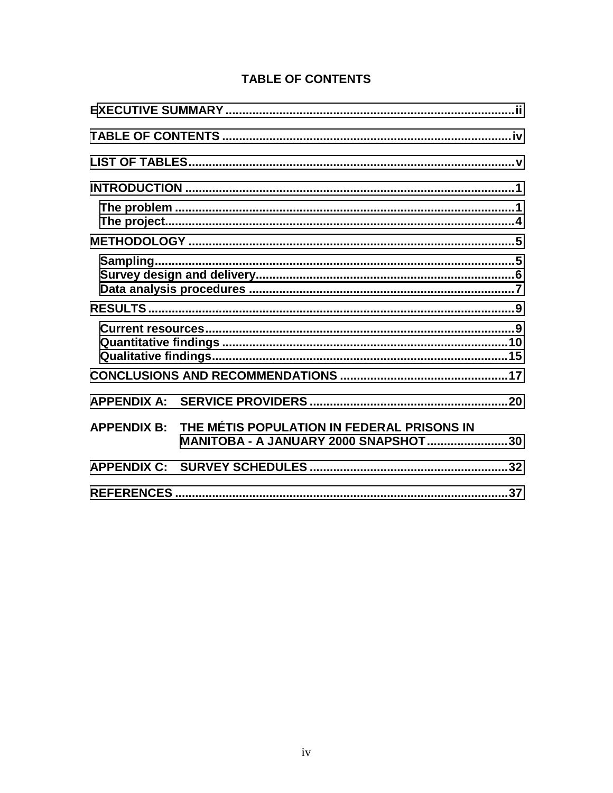# **TABLE OF CONTENTS**

| <b>APPENDIX B:</b> | THE MÉTIS POPULATION IN FEDERAL PRISONS IN<br><b>MANITOBA - A JANUARY 2000 SNAPSHOT30</b> |  |
|--------------------|-------------------------------------------------------------------------------------------|--|
|                    |                                                                                           |  |
|                    |                                                                                           |  |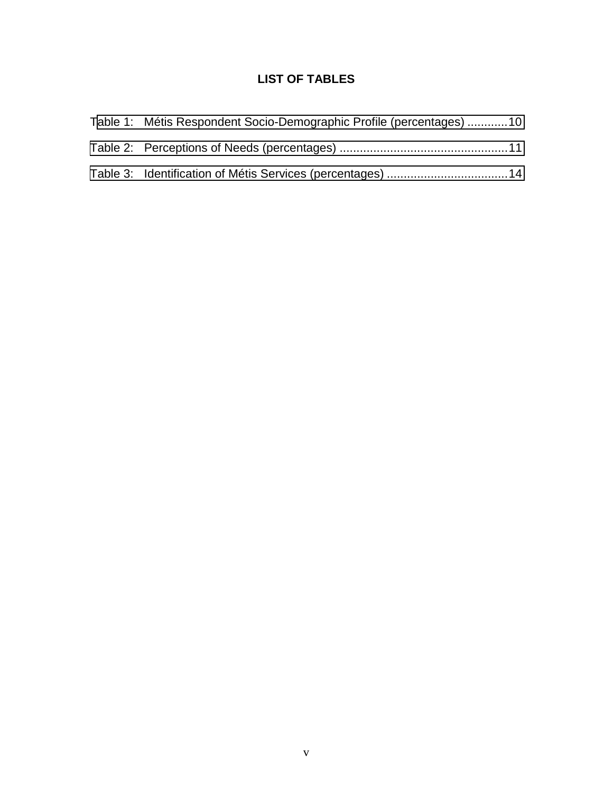# **LIST OF TABLES**

<span id="page-4-0"></span>

| Table 1: Métis Respondent Socio-Demographic Profile (percentages) 10 |  |
|----------------------------------------------------------------------|--|
|                                                                      |  |
|                                                                      |  |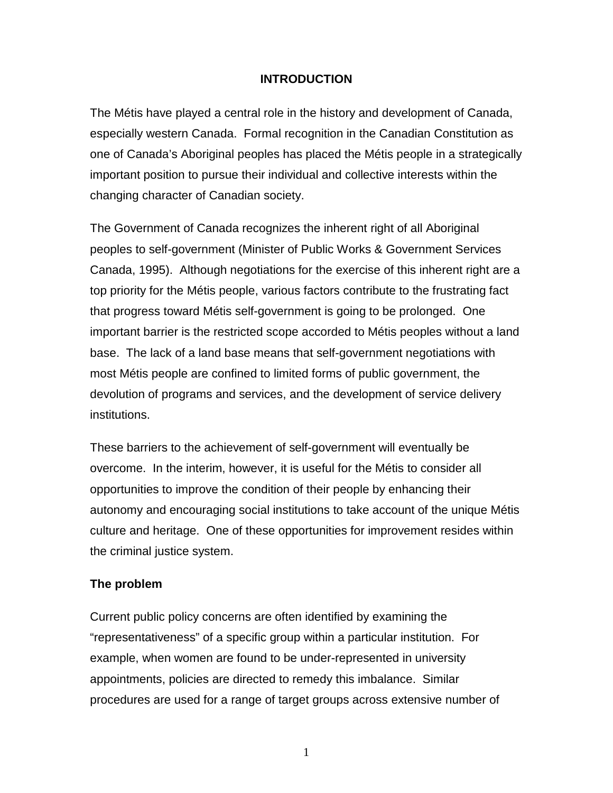### **INTRODUCTION**

<span id="page-5-0"></span>The Métis have played a central role in the history and development of Canada, especially western Canada. Formal recognition in the Canadian Constitution as one of Canada's Aboriginal peoples has placed the Métis people in a strategically important position to pursue their individual and collective interests within the changing character of Canadian society.

The Government of Canada recognizes the inherent right of all Aboriginal peoples to self-government (Minister of Public Works & Government Services Canada, 1995). Although negotiations for the exercise of this inherent right are a top priority for the Métis people, various factors contribute to the frustrating fact that progress toward Métis self-government is going to be prolonged. One important barrier is the restricted scope accorded to Métis peoples without a land base. The lack of a land base means that self-government negotiations with most Métis people are confined to limited forms of public government, the devolution of programs and services, and the development of service delivery institutions.

These barriers to the achievement of self-government will eventually be overcome. In the interim, however, it is useful for the Métis to consider all opportunities to improve the condition of their people by enhancing their autonomy and encouraging social institutions to take account of the unique Métis culture and heritage. One of these opportunities for improvement resides within the criminal justice system.

## **The problem**

Current public policy concerns are often identified by examining the "representativeness" of a specific group within a particular institution. For example, when women are found to be under-represented in university appointments, policies are directed to remedy this imbalance. Similar procedures are used for a range of target groups across extensive number of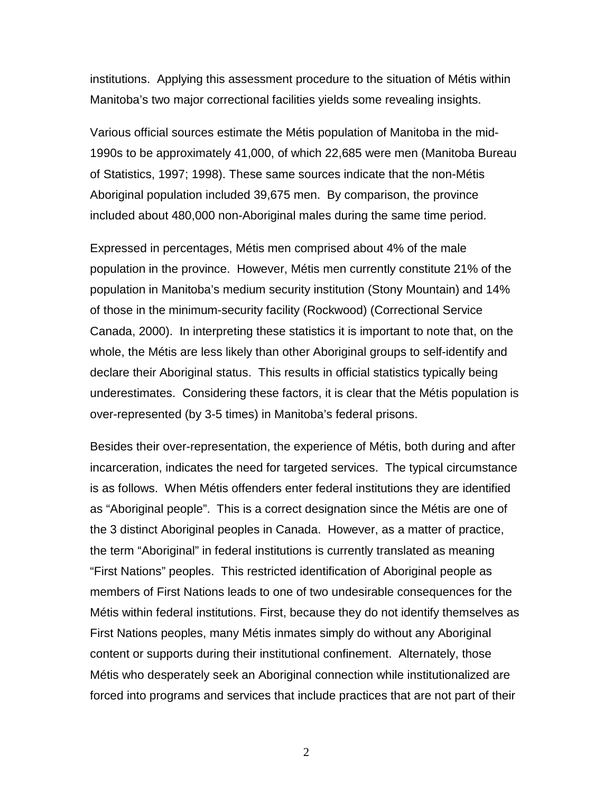institutions. Applying this assessment procedure to the situation of Métis within Manitoba's two major correctional facilities yields some revealing insights.

Various official sources estimate the Métis population of Manitoba in the mid-1990s to be approximately 41,000, of which 22,685 were men (Manitoba Bureau of Statistics, 1997; 1998). These same sources indicate that the non-Métis Aboriginal population included 39,675 men. By comparison, the province included about 480,000 non-Aboriginal males during the same time period.

Expressed in percentages, Métis men comprised about 4% of the male population in the province. However, Métis men currently constitute 21% of the population in Manitoba's medium security institution (Stony Mountain) and 14% of those in the minimum-security facility (Rockwood) (Correctional Service Canada, 2000). In interpreting these statistics it is important to note that, on the whole, the Métis are less likely than other Aboriginal groups to self-identify and declare their Aboriginal status. This results in official statistics typically being underestimates. Considering these factors, it is clear that the Métis population is over-represented (by 3-5 times) in Manitoba's federal prisons.

Besides their over-representation, the experience of Métis, both during and after incarceration, indicates the need for targeted services. The typical circumstance is as follows. When Métis offenders enter federal institutions they are identified as "Aboriginal people". This is a correct designation since the Métis are one of the 3 distinct Aboriginal peoples in Canada. However, as a matter of practice, the term "Aboriginal" in federal institutions is currently translated as meaning "First Nations" peoples. This restricted identification of Aboriginal people as members of First Nations leads to one of two undesirable consequences for the Métis within federal institutions. First, because they do not identify themselves as First Nations peoples, many Métis inmates simply do without any Aboriginal content or supports during their institutional confinement. Alternately, those Métis who desperately seek an Aboriginal connection while institutionalized are forced into programs and services that include practices that are not part of their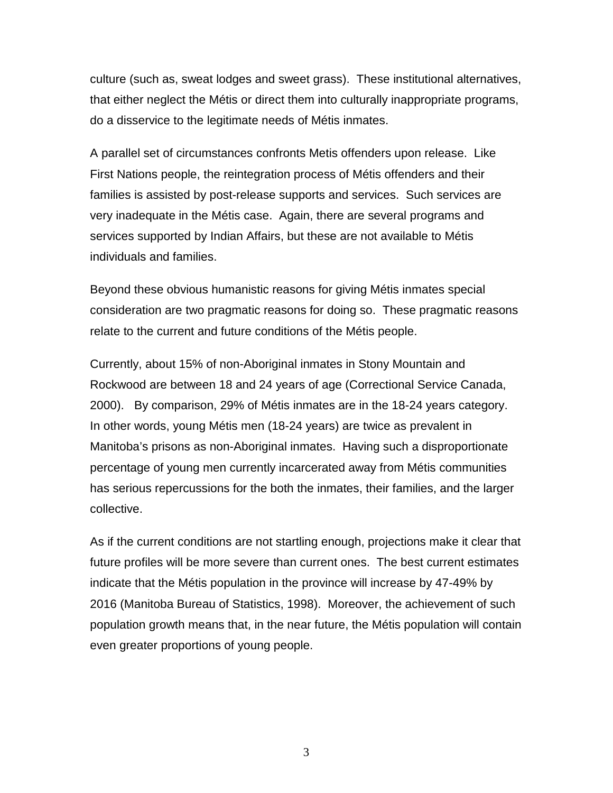culture (such as, sweat lodges and sweet grass). These institutional alternatives, that either neglect the Métis or direct them into culturally inappropriate programs, do a disservice to the legitimate needs of Métis inmates.

A parallel set of circumstances confronts Metis offenders upon release. Like First Nations people, the reintegration process of Métis offenders and their families is assisted by post-release supports and services. Such services are very inadequate in the Métis case. Again, there are several programs and services supported by Indian Affairs, but these are not available to Métis individuals and families.

Beyond these obvious humanistic reasons for giving Métis inmates special consideration are two pragmatic reasons for doing so. These pragmatic reasons relate to the current and future conditions of the Métis people.

Currently, about 15% of non-Aboriginal inmates in Stony Mountain and Rockwood are between 18 and 24 years of age (Correctional Service Canada, 2000). By comparison, 29% of Métis inmates are in the 18-24 years category. In other words, young Métis men (18-24 years) are twice as prevalent in Manitoba's prisons as non-Aboriginal inmates. Having such a disproportionate percentage of young men currently incarcerated away from Métis communities has serious repercussions for the both the inmates, their families, and the larger collective.

As if the current conditions are not startling enough, projections make it clear that future profiles will be more severe than current ones. The best current estimates indicate that the Métis population in the province will increase by 47-49% by 2016 (Manitoba Bureau of Statistics, 1998). Moreover, the achievement of such population growth means that, in the near future, the Métis population will contain even greater proportions of young people.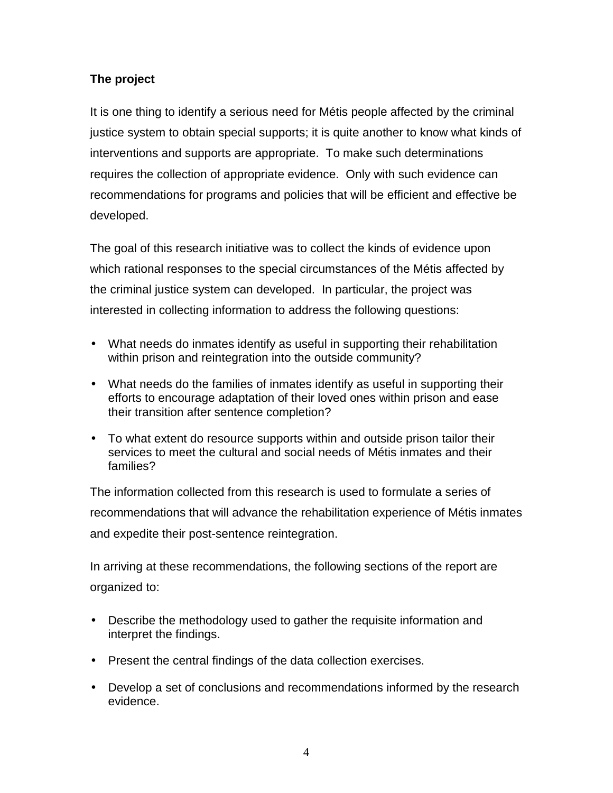# <span id="page-8-0"></span>**The project**

It is one thing to identify a serious need for Métis people affected by the criminal justice system to obtain special supports; it is quite another to know what kinds of interventions and supports are appropriate. To make such determinations requires the collection of appropriate evidence. Only with such evidence can recommendations for programs and policies that will be efficient and effective be developed.

The goal of this research initiative was to collect the kinds of evidence upon which rational responses to the special circumstances of the Métis affected by the criminal justice system can developed. In particular, the project was interested in collecting information to address the following questions:

- What needs do inmates identify as useful in supporting their rehabilitation within prison and reintegration into the outside community?
- What needs do the families of inmates identify as useful in supporting their efforts to encourage adaptation of their loved ones within prison and ease their transition after sentence completion?
- To what extent do resource supports within and outside prison tailor their services to meet the cultural and social needs of Métis inmates and their families?

The information collected from this research is used to formulate a series of recommendations that will advance the rehabilitation experience of Métis inmates and expedite their post-sentence reintegration.

In arriving at these recommendations, the following sections of the report are organized to:

- Describe the methodology used to gather the requisite information and interpret the findings.
- Present the central findings of the data collection exercises.
- Develop a set of conclusions and recommendations informed by the research evidence.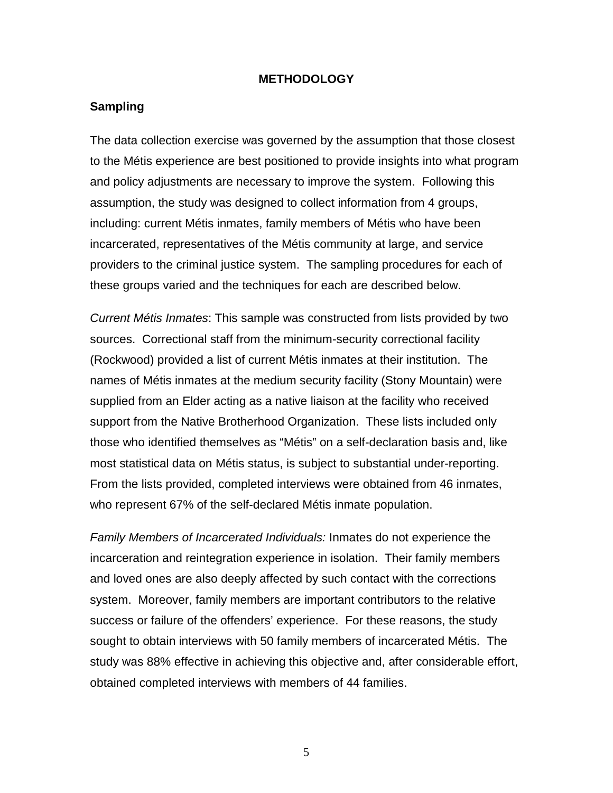#### **METHODOLOGY**

#### <span id="page-9-0"></span>**Sampling**

The data collection exercise was governed by the assumption that those closest to the Métis experience are best positioned to provide insights into what program and policy adjustments are necessary to improve the system. Following this assumption, the study was designed to collect information from 4 groups, including: current Métis inmates, family members of Métis who have been incarcerated, representatives of the Métis community at large, and service providers to the criminal justice system. The sampling procedures for each of these groups varied and the techniques for each are described below.

*Current Métis Inmates*: This sample was constructed from lists provided by two sources. Correctional staff from the minimum-security correctional facility (Rockwood) provided a list of current Métis inmates at their institution. The names of Métis inmates at the medium security facility (Stony Mountain) were supplied from an Elder acting as a native liaison at the facility who received support from the Native Brotherhood Organization. These lists included only those who identified themselves as "Métis" on a self-declaration basis and, like most statistical data on Métis status, is subject to substantial under-reporting. From the lists provided, completed interviews were obtained from 46 inmates, who represent 67% of the self-declared Métis inmate population.

*Family Members of Incarcerated Individuals:* Inmates do not experience the incarceration and reintegration experience in isolation. Their family members and loved ones are also deeply affected by such contact with the corrections system. Moreover, family members are important contributors to the relative success or failure of the offenders' experience. For these reasons, the study sought to obtain interviews with 50 family members of incarcerated Métis. The study was 88% effective in achieving this objective and, after considerable effort, obtained completed interviews with members of 44 families.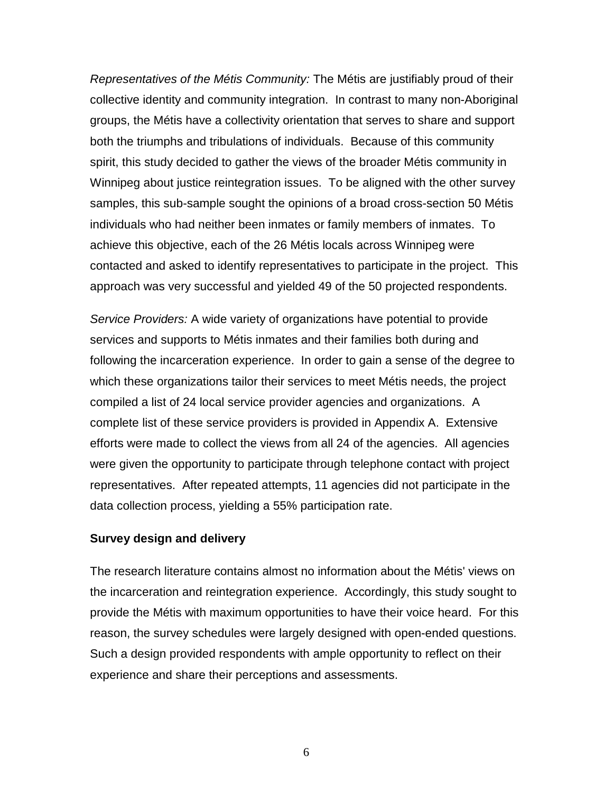<span id="page-10-0"></span>*Representatives of the Métis Community:* The Métis are justifiably proud of their collective identity and community integration. In contrast to many non-Aboriginal groups, the Métis have a collectivity orientation that serves to share and support both the triumphs and tribulations of individuals. Because of this community spirit, this study decided to gather the views of the broader Métis community in Winnipeg about justice reintegration issues. To be aligned with the other survey samples, this sub-sample sought the opinions of a broad cross-section 50 Métis individuals who had neither been inmates or family members of inmates. To achieve this objective, each of the 26 Métis locals across Winnipeg were contacted and asked to identify representatives to participate in the project. This approach was very successful and yielded 49 of the 50 projected respondents.

*Service Providers:* A wide variety of organizations have potential to provide services and supports to Métis inmates and their families both during and following the incarceration experience. In order to gain a sense of the degree to which these organizations tailor their services to meet Métis needs, the project compiled a list of 24 local service provider agencies and organizations. A complete list of these service providers is provided in Appendix A. Extensive efforts were made to collect the views from all 24 of the agencies. All agencies were given the opportunity to participate through telephone contact with project representatives. After repeated attempts, 11 agencies did not participate in the data collection process, yielding a 55% participation rate.

#### **Survey design and delivery**

The research literature contains almost no information about the Métis' views on the incarceration and reintegration experience. Accordingly, this study sought to provide the Métis with maximum opportunities to have their voice heard. For this reason, the survey schedules were largely designed with open-ended questions. Such a design provided respondents with ample opportunity to reflect on their experience and share their perceptions and assessments.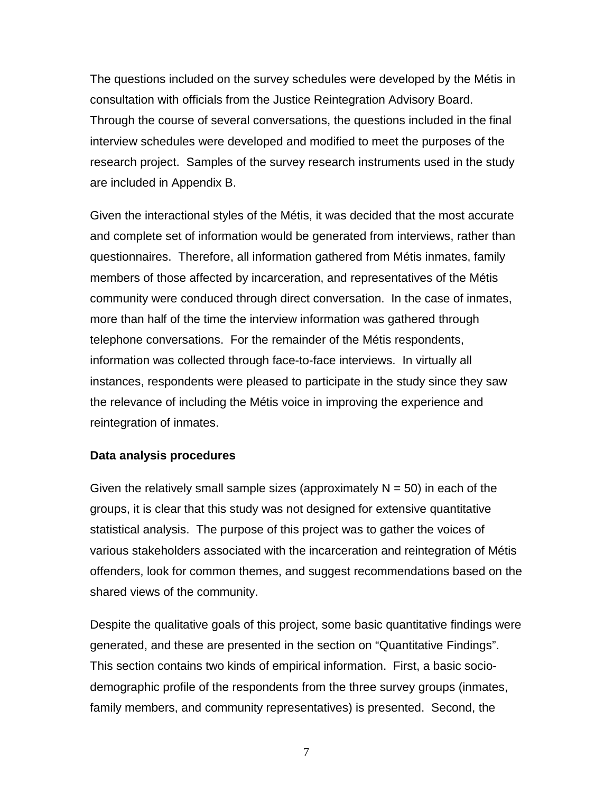<span id="page-11-0"></span>The questions included on the survey schedules were developed by the Métis in consultation with officials from the Justice Reintegration Advisory Board. Through the course of several conversations, the questions included in the final interview schedules were developed and modified to meet the purposes of the research project. Samples of the survey research instruments used in the study are included in Appendix B.

Given the interactional styles of the Métis, it was decided that the most accurate and complete set of information would be generated from interviews, rather than questionnaires. Therefore, all information gathered from Métis inmates, family members of those affected by incarceration, and representatives of the Métis community were conduced through direct conversation. In the case of inmates, more than half of the time the interview information was gathered through telephone conversations. For the remainder of the Métis respondents, information was collected through face-to-face interviews. In virtually all instances, respondents were pleased to participate in the study since they saw the relevance of including the Métis voice in improving the experience and reintegration of inmates.

#### **Data analysis procedures**

Given the relatively small sample sizes (approximately  $N = 50$ ) in each of the groups, it is clear that this study was not designed for extensive quantitative statistical analysis. The purpose of this project was to gather the voices of various stakeholders associated with the incarceration and reintegration of Métis offenders, look for common themes, and suggest recommendations based on the shared views of the community.

Despite the qualitative goals of this project, some basic quantitative findings were generated, and these are presented in the section on "Quantitative Findings". This section contains two kinds of empirical information. First, a basic sociodemographic profile of the respondents from the three survey groups (inmates, family members, and community representatives) is presented. Second, the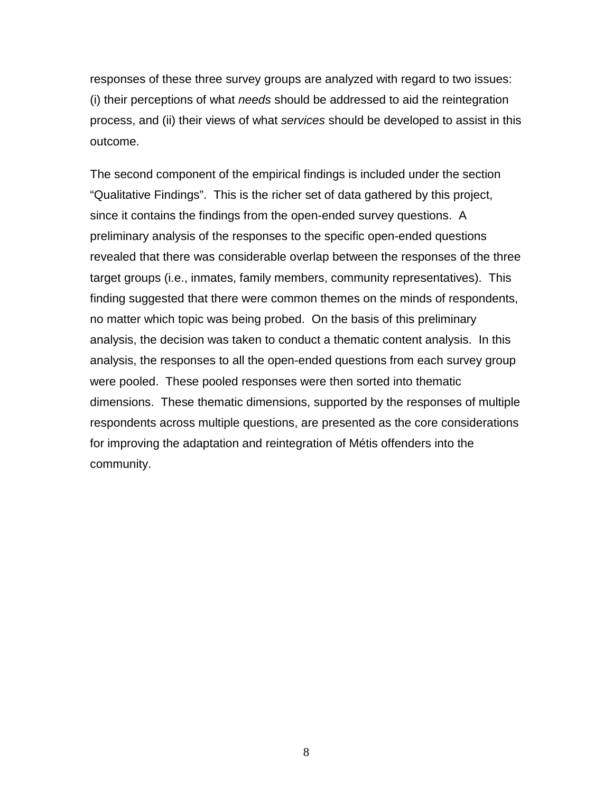responses of these three survey groups are analyzed with regard to two issues: (i) their perceptions of what *needs* should be addressed to aid the reintegration process, and (ii) their views of what *services* should be developed to assist in this outcome.

The second component of the empirical findings is included under the section "Qualitative Findings". This is the richer set of data gathered by this project, since it contains the findings from the open-ended survey questions. A preliminary analysis of the responses to the specific open-ended questions revealed that there was considerable overlap between the responses of the three target groups (i.e., inmates, family members, community representatives). This finding suggested that there were common themes on the minds of respondents, no matter which topic was being probed. On the basis of this preliminary analysis, the decision was taken to conduct a thematic content analysis. In this analysis, the responses to all the open-ended questions from each survey group were pooled. These pooled responses were then sorted into thematic dimensions. These thematic dimensions, supported by the responses of multiple respondents across multiple questions, are presented as the core considerations for improving the adaptation and reintegration of Métis offenders into the community.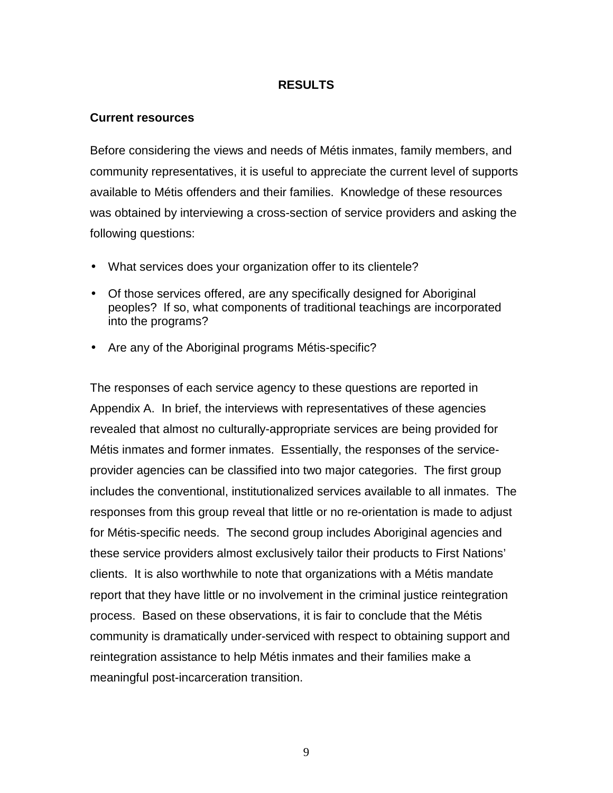### **RESULTS**

#### <span id="page-13-0"></span>**Current resources**

Before considering the views and needs of Métis inmates, family members, and community representatives, it is useful to appreciate the current level of supports available to Métis offenders and their families. Knowledge of these resources was obtained by interviewing a cross-section of service providers and asking the following questions:

- What services does your organization offer to its clientele?
- Of those services offered, are any specifically designed for Aboriginal peoples? If so, what components of traditional teachings are incorporated into the programs?
- Are any of the Aboriginal programs Métis-specific?

The responses of each service agency to these questions are reported in Appendix A. In brief, the interviews with representatives of these agencies revealed that almost no culturally-appropriate services are being provided for Métis inmates and former inmates. Essentially, the responses of the serviceprovider agencies can be classified into two major categories. The first group includes the conventional, institutionalized services available to all inmates. The responses from this group reveal that little or no re-orientation is made to adjust for Métis-specific needs. The second group includes Aboriginal agencies and these service providers almost exclusively tailor their products to First Nations' clients. It is also worthwhile to note that organizations with a Métis mandate report that they have little or no involvement in the criminal justice reintegration process. Based on these observations, it is fair to conclude that the Métis community is dramatically under-serviced with respect to obtaining support and reintegration assistance to help Métis inmates and their families make a meaningful post-incarceration transition.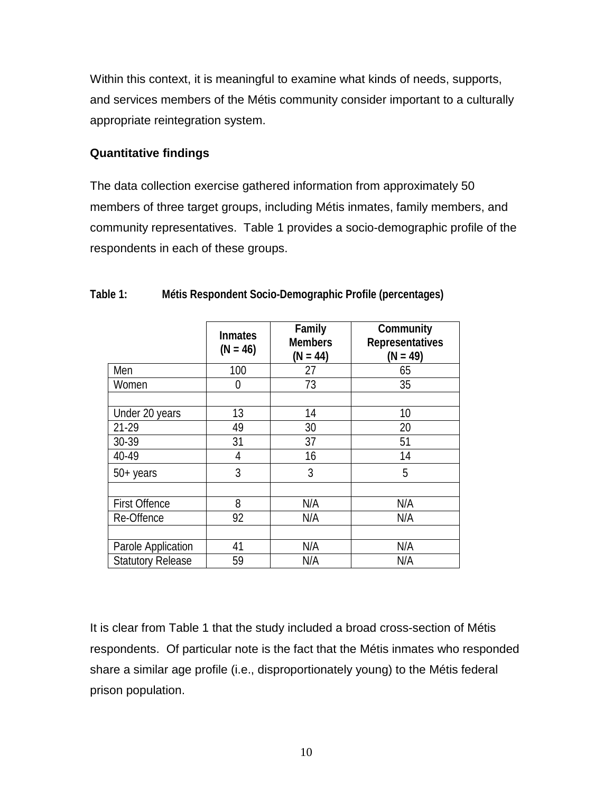<span id="page-14-0"></span>Within this context, it is meaningful to examine what kinds of needs, supports, and services members of the Métis community consider important to a culturally appropriate reintegration system.

### **Quantitative findings**

The data collection exercise gathered information from approximately 50 members of three target groups, including Métis inmates, family members, and community representatives. Table 1 provides a socio-demographic profile of the respondents in each of these groups.

|                          | <b>Inmates</b><br>$(N = 46)$ | Family<br><b>Members</b><br>$(N = 44)$ | Community<br><b>Representatives</b><br>$(N = 49)$ |
|--------------------------|------------------------------|----------------------------------------|---------------------------------------------------|
| Men                      | 100                          | 27                                     | 65                                                |
| Women                    | 0                            | 73                                     | 35                                                |
|                          |                              |                                        |                                                   |
| Under 20 years           | 13                           | 14                                     | 10                                                |
| 21-29                    | 49                           | 30                                     | 20                                                |
| 30-39                    | 31                           | 37                                     | 51                                                |
| 40-49                    | 4                            | 16                                     | 14                                                |
| $50+$ years              | 3                            | 3                                      | 5                                                 |
|                          |                              |                                        |                                                   |
| <b>First Offence</b>     | 8                            | N/A                                    | N/A                                               |
| Re-Offence               | 92                           | N/A                                    | N/A                                               |
|                          |                              |                                        |                                                   |
| Parole Application       | 41                           | N/A                                    | N/A                                               |
| <b>Statutory Release</b> | 59                           | N/A                                    | N/A                                               |

#### **Table 1: Métis Respondent Socio-Demographic Profile (percentages)**

It is clear from Table 1 that the study included a broad cross-section of Métis respondents. Of particular note is the fact that the Métis inmates who responded share a similar age profile (i.e., disproportionately young) to the Métis federal prison population.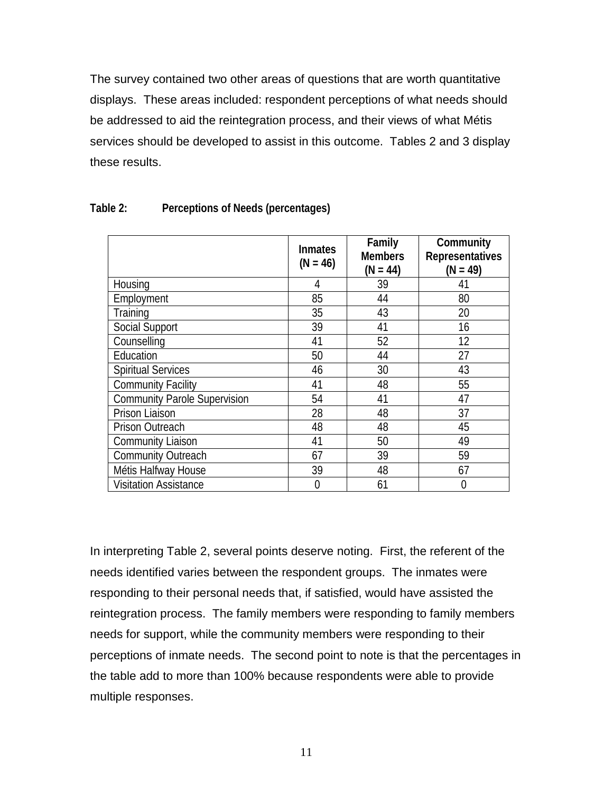<span id="page-15-0"></span>The survey contained two other areas of questions that are worth quantitative displays. These areas included: respondent perceptions of what needs should be addressed to aid the reintegration process, and their views of what Métis services should be developed to assist in this outcome. Tables 2 and 3 display these results.

|                                     | <b>Inmates</b><br>$(N = 46)$ | Family<br><b>Members</b><br>$(N = 44)$ | Community<br><b>Representatives</b><br>$(N = 49)$ |
|-------------------------------------|------------------------------|----------------------------------------|---------------------------------------------------|
| Housing                             | 4                            | 39                                     | 41                                                |
| Employment                          | 85                           | 44                                     | 80                                                |
| Training                            | 35                           | 43                                     | 20                                                |
| <b>Social Support</b>               | 39                           | 41                                     | 16                                                |
| Counselling                         | 41                           | 52                                     | 12                                                |
| Education                           | 50                           | 44                                     | 27                                                |
| <b>Spiritual Services</b>           | 46                           | 30                                     | 43                                                |
| <b>Community Facility</b>           | 41                           | 48                                     | 55                                                |
| <b>Community Parole Supervision</b> | 54                           | 41                                     | 47                                                |
| Prison Liaison                      | 28                           | 48                                     | 37                                                |
| Prison Outreach                     | 48                           | 48                                     | 45                                                |
| <b>Community Liaison</b>            | 41                           | 50                                     | 49                                                |
| Community Outreach                  | 67                           | 39                                     | 59                                                |
| Métis Halfway House                 | 39                           | 48                                     | 67                                                |
| <b>Visitation Assistance</b>        | 0                            | 61                                     | 0                                                 |

#### **Table 2: Perceptions of Needs (percentages)**

In interpreting Table 2, several points deserve noting. First, the referent of the needs identified varies between the respondent groups. The inmates were responding to their personal needs that, if satisfied, would have assisted the reintegration process. The family members were responding to family members needs for support, while the community members were responding to their perceptions of inmate needs. The second point to note is that the percentages in the table add to more than 100% because respondents were able to provide multiple responses.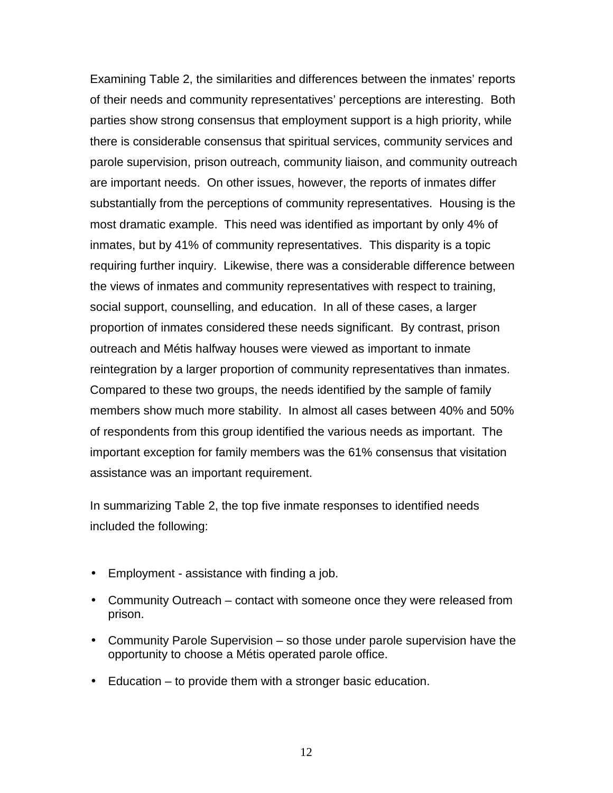Examining Table 2, the similarities and differences between the inmates' reports of their needs and community representatives' perceptions are interesting. Both parties show strong consensus that employment support is a high priority, while there is considerable consensus that spiritual services, community services and parole supervision, prison outreach, community liaison, and community outreach are important needs. On other issues, however, the reports of inmates differ substantially from the perceptions of community representatives. Housing is the most dramatic example. This need was identified as important by only 4% of inmates, but by 41% of community representatives. This disparity is a topic requiring further inquiry. Likewise, there was a considerable difference between the views of inmates and community representatives with respect to training, social support, counselling, and education. In all of these cases, a larger proportion of inmates considered these needs significant. By contrast, prison outreach and Métis halfway houses were viewed as important to inmate reintegration by a larger proportion of community representatives than inmates. Compared to these two groups, the needs identified by the sample of family members show much more stability. In almost all cases between 40% and 50% of respondents from this group identified the various needs as important. The important exception for family members was the 61% consensus that visitation assistance was an important requirement.

In summarizing Table 2, the top five inmate responses to identified needs included the following:

- Employment assistance with finding a job.
- Community Outreach contact with someone once they were released from prison.
- Community Parole Supervision so those under parole supervision have the opportunity to choose a Métis operated parole office.
- Education to provide them with a stronger basic education.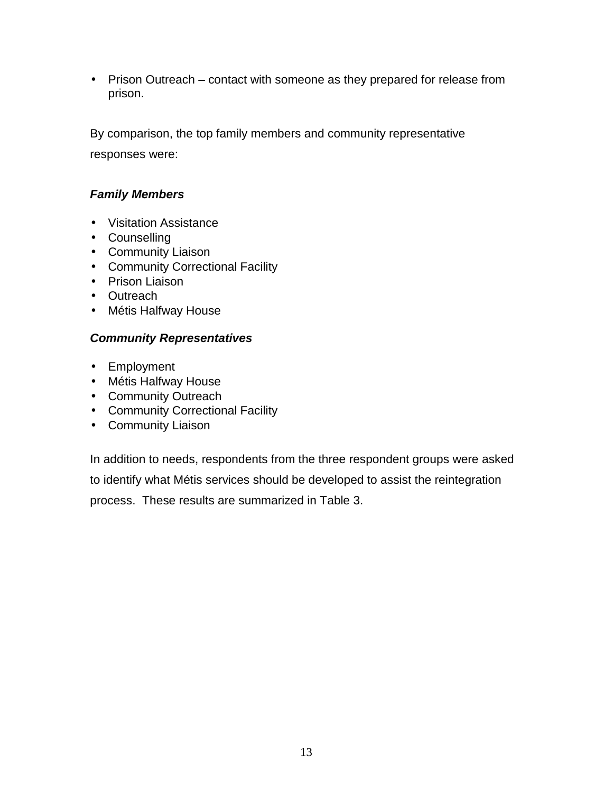• Prison Outreach – contact with someone as they prepared for release from prison.

By comparison, the top family members and community representative responses were:

## *Family Members*

- Visitation Assistance
- Counselling
- Community Liaison
- Community Correctional Facility
- Prison Liaison
- Outreach
- Métis Halfway House

## *Community Representatives*

- Employment
- Métis Halfway House
- Community Outreach
- Community Correctional Facility
- Community Liaison

In addition to needs, respondents from the three respondent groups were asked to identify what Métis services should be developed to assist the reintegration process. These results are summarized in Table 3.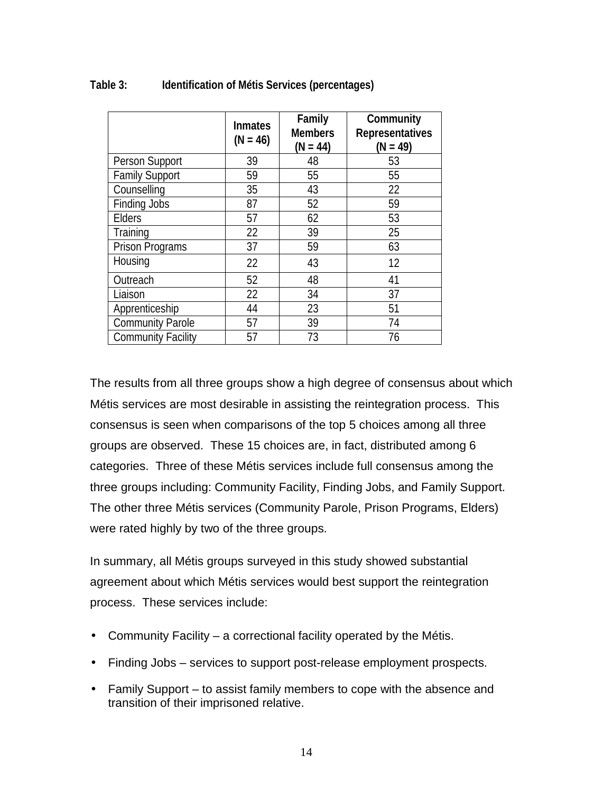|                           | <b>Inmates</b><br>$(N = 46)$ | Family<br><b>Members</b><br>$(N = 44)$ | Community<br><b>Representatives</b><br>$(N = 49)$ |
|---------------------------|------------------------------|----------------------------------------|---------------------------------------------------|
| Person Support            | 39                           | 48                                     | 53                                                |
| <b>Family Support</b>     | 59                           | 55                                     | 55                                                |
| Counselling               | 35                           | 43                                     | 22                                                |
| Finding Jobs              | 87                           | 52                                     | 59                                                |
| <b>Elders</b>             | 57                           | 62                                     | 53                                                |
| Training                  | 22                           | 39                                     | 25                                                |
| Prison Programs           | 37                           | 59                                     | 63                                                |
| Housing                   | 22                           | 43                                     | 12                                                |
| Outreach                  | 52                           | 48                                     | 41                                                |
| Liaison                   | 22                           | 34                                     | 37                                                |
| Apprenticeship            | 44                           | 23                                     | 51                                                |
| Community Parole          | 57                           | 39                                     | 74                                                |
| <b>Community Facility</b> | 57                           | 73                                     | 76                                                |

### <span id="page-18-0"></span>**Table 3: Identification of Métis Services (percentages)**

The results from all three groups show a high degree of consensus about which Métis services are most desirable in assisting the reintegration process. This consensus is seen when comparisons of the top 5 choices among all three groups are observed. These 15 choices are, in fact, distributed among 6 categories. Three of these Métis services include full consensus among the three groups including: Community Facility, Finding Jobs, and Family Support. The other three Métis services (Community Parole, Prison Programs, Elders) were rated highly by two of the three groups.

In summary, all Métis groups surveyed in this study showed substantial agreement about which Métis services would best support the reintegration process. These services include:

- Community Facility a correctional facility operated by the Métis.
- Finding Jobs services to support post-release employment prospects.
- Family Support to assist family members to cope with the absence and transition of their imprisoned relative.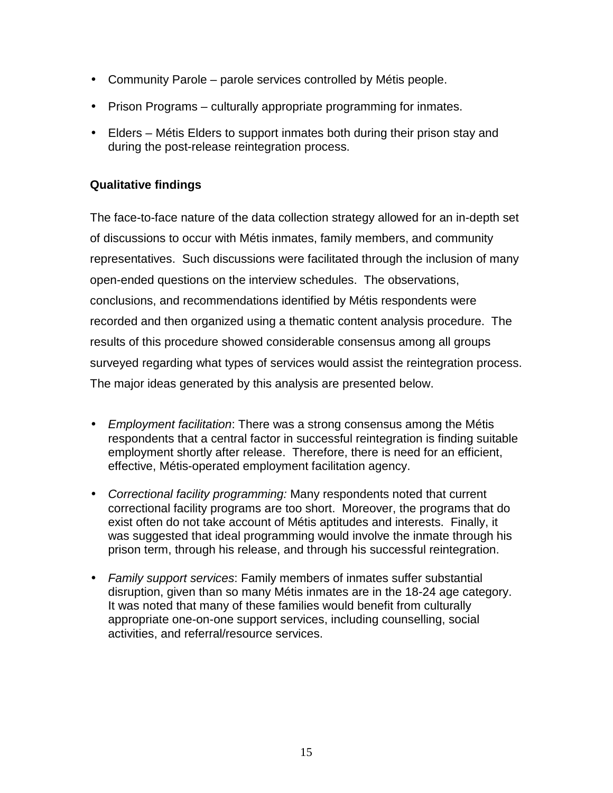- <span id="page-19-0"></span>• Community Parole – parole services controlled by Métis people.
- Prison Programs culturally appropriate programming for inmates.
- Elders Métis Elders to support inmates both during their prison stay and during the post-release reintegration process.

### **Qualitative findings**

The face-to-face nature of the data collection strategy allowed for an in-depth set of discussions to occur with Métis inmates, family members, and community representatives. Such discussions were facilitated through the inclusion of many open-ended questions on the interview schedules. The observations, conclusions, and recommendations identified by Métis respondents were recorded and then organized using a thematic content analysis procedure. The results of this procedure showed considerable consensus among all groups surveyed regarding what types of services would assist the reintegration process. The major ideas generated by this analysis are presented below.

- *Employment facilitation*: There was a strong consensus among the Métis respondents that a central factor in successful reintegration is finding suitable employment shortly after release. Therefore, there is need for an efficient, effective, Métis-operated employment facilitation agency.
- *Correctional facility programming:* Many respondents noted that current correctional facility programs are too short. Moreover, the programs that do exist often do not take account of Métis aptitudes and interests. Finally, it was suggested that ideal programming would involve the inmate through his prison term, through his release, and through his successful reintegration.
- *Family support services*: Family members of inmates suffer substantial disruption, given than so many Métis inmates are in the 18-24 age category. It was noted that many of these families would benefit from culturally appropriate one-on-one support services, including counselling, social activities, and referral/resource services.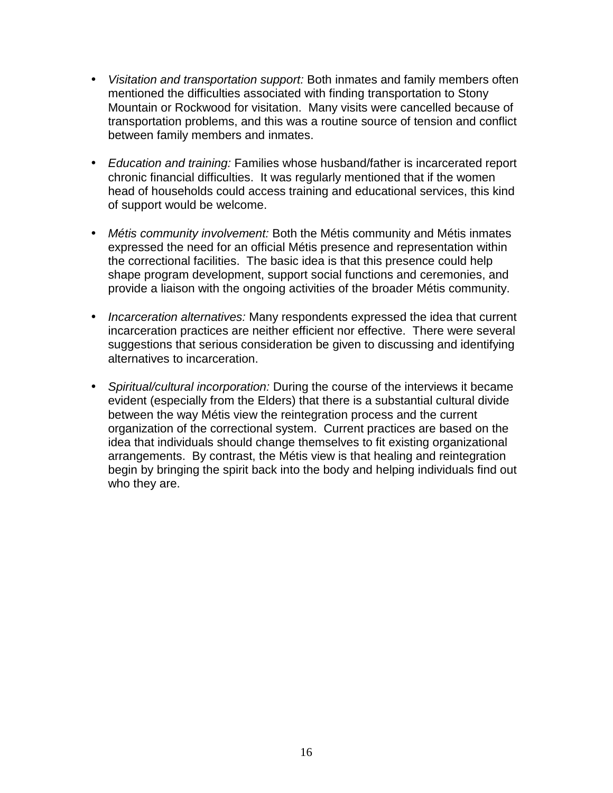- *Visitation and transportation support:* Both inmates and family members often mentioned the difficulties associated with finding transportation to Stony Mountain or Rockwood for visitation. Many visits were cancelled because of transportation problems, and this was a routine source of tension and conflict between family members and inmates.
- *Education and training:* Families whose husband/father is incarcerated report chronic financial difficulties. It was regularly mentioned that if the women head of households could access training and educational services, this kind of support would be welcome.
- *Métis community involvement:* Both the Métis community and Métis inmates expressed the need for an official Métis presence and representation within the correctional facilities. The basic idea is that this presence could help shape program development, support social functions and ceremonies, and provide a liaison with the ongoing activities of the broader Métis community.
- *Incarceration alternatives:* Many respondents expressed the idea that current incarceration practices are neither efficient nor effective. There were several suggestions that serious consideration be given to discussing and identifying alternatives to incarceration.
- *Spiritual/cultural incorporation:* During the course of the interviews it became evident (especially from the Elders) that there is a substantial cultural divide between the way Métis view the reintegration process and the current organization of the correctional system. Current practices are based on the idea that individuals should change themselves to fit existing organizational arrangements. By contrast, the Métis view is that healing and reintegration begin by bringing the spirit back into the body and helping individuals find out who they are.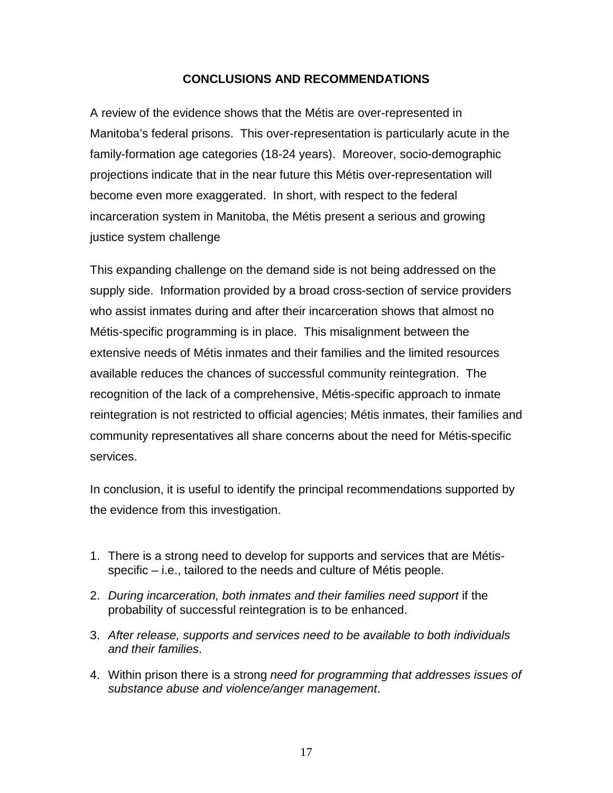### **CONCLUSIONS AND RECOMMENDATIONS**

<span id="page-21-0"></span>A review of the evidence shows that the Métis are over-represented in Manitoba's federal prisons. This over-representation is particularly acute in the family-formation age categories (18-24 years). Moreover, socio-demographic projections indicate that in the near future this Métis over-representation will become even more exaggerated. In short, with respect to the federal incarceration system in Manitoba, the Métis present a serious and growing justice system challenge

This expanding challenge on the demand side is not being addressed on the supply side. Information provided by a broad cross-section of service providers who assist inmates during and after their incarceration shows that almost no Métis-specific programming is in place. This misalignment between the extensive needs of Métis inmates and their families and the limited resources available reduces the chances of successful community reintegration. The recognition of the lack of a comprehensive, Métis-specific approach to inmate reintegration is not restricted to official agencies; Métis inmates, their families and community representatives all share concerns about the need for Métis-specific services.

In conclusion, it is useful to identify the principal recommendations supported by the evidence from this investigation.

- 1. There is a strong need to develop for supports and services that are Métisspecific – i.e., tailored to the needs and culture of Métis people.
- 2. *During incarceration, both inmates and their families need support* if the probability of successful reintegration is to be enhanced.
- 3. *After release, supports and services need to be available to both individuals and their families*.
- 4. Within prison there is a strong *need for programming that addresses issues of substance abuse and violence/anger management*.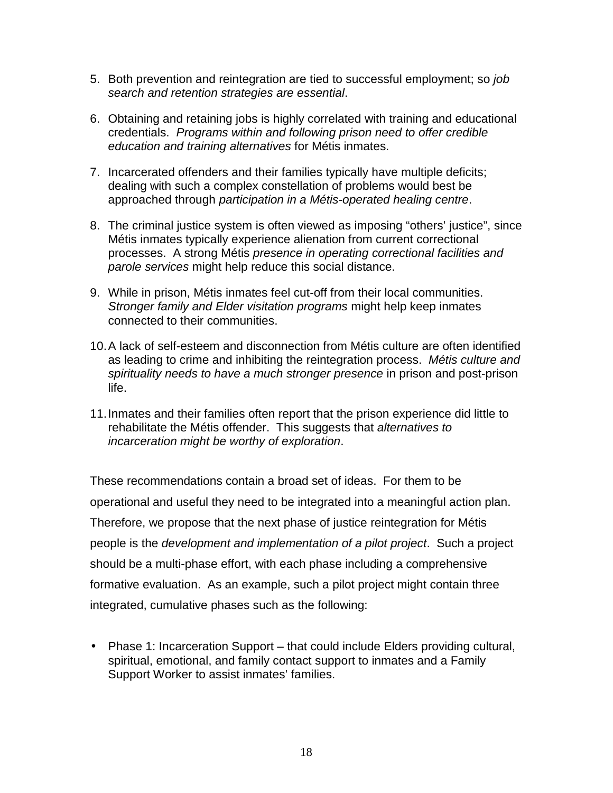- 5. Both prevention and reintegration are tied to successful employment; so *job search and retention strategies are essential*.
- 6. Obtaining and retaining jobs is highly correlated with training and educational credentials. *Programs within and following prison need to offer credible education and training alternatives* for Métis inmates.
- 7. Incarcerated offenders and their families typically have multiple deficits; dealing with such a complex constellation of problems would best be approached through *participation in a Métis-operated healing centre*.
- 8. The criminal justice system is often viewed as imposing "others' justice", since Métis inmates typically experience alienation from current correctional processes. A strong Métis *presence in operating correctional facilities and parole services* might help reduce this social distance.
- 9. While in prison, Métis inmates feel cut-off from their local communities. *Stronger family and Elder visitation programs* might help keep inmates connected to their communities.
- 10. A lack of self-esteem and disconnection from Métis culture are often identified as leading to crime and inhibiting the reintegration process. *Métis culture and spirituality needs to have a much stronger presence* in prison and post-prison life.
- 11. Inmates and their families often report that the prison experience did little to rehabilitate the Métis offender. This suggests that *alternatives to incarceration might be worthy of exploration*.

These recommendations contain a broad set of ideas. For them to be operational and useful they need to be integrated into a meaningful action plan. Therefore, we propose that the next phase of justice reintegration for Métis people is the *development and implementation of a pilot project*. Such a project should be a multi-phase effort, with each phase including a comprehensive formative evaluation. As an example, such a pilot project might contain three integrated, cumulative phases such as the following:

• Phase 1: Incarceration Support – that could include Elders providing cultural, spiritual, emotional, and family contact support to inmates and a Family Support Worker to assist inmates' families.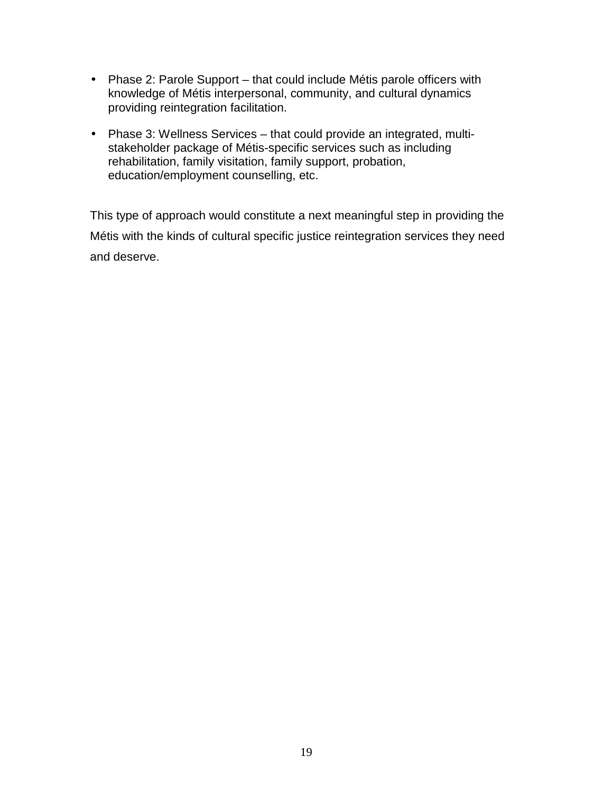- Phase 2: Parole Support that could include Métis parole officers with knowledge of Métis interpersonal, community, and cultural dynamics providing reintegration facilitation.
- Phase 3: Wellness Services that could provide an integrated, multistakeholder package of Métis-specific services such as including rehabilitation, family visitation, family support, probation, education/employment counselling, etc.

This type of approach would constitute a next meaningful step in providing the Métis with the kinds of cultural specific justice reintegration services they need and deserve.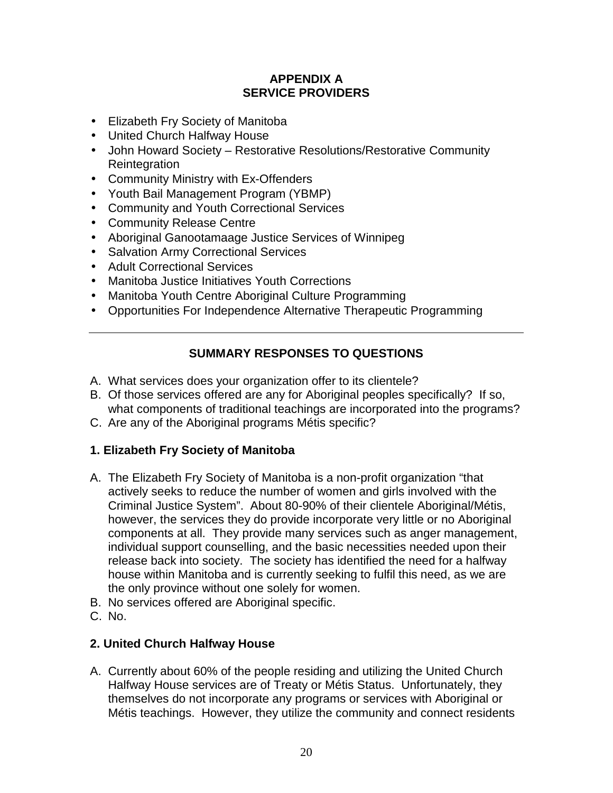## **APPENDIX A SERVICE PROVIDERS**

- <span id="page-24-0"></span>• Elizabeth Fry Society of Manitoba
- United Church Halfway House
- John Howard Society Restorative Resolutions/Restorative Community **Reintegration**
- Community Ministry with Ex-Offenders
- Youth Bail Management Program (YBMP)
- Community and Youth Correctional Services
- Community Release Centre
- Aboriginal Ganootamaage Justice Services of Winnipeg
- Salvation Army Correctional Services
- Adult Correctional Services
- Manitoba Justice Initiatives Youth Corrections
- Manitoba Youth Centre Aboriginal Culture Programming
- Opportunities For Independence Alternative Therapeutic Programming

## **SUMMARY RESPONSES TO QUESTIONS**

- A. What services does your organization offer to its clientele?
- B. Of those services offered are any for Aboriginal peoples specifically? If so, what components of traditional teachings are incorporated into the programs?
- C. Are any of the Aboriginal programs Métis specific?

## **1. Elizabeth Fry Society of Manitoba**

- A. The Elizabeth Fry Society of Manitoba is a non-profit organization "that actively seeks to reduce the number of women and girls involved with the Criminal Justice System". About 80-90% of their clientele Aboriginal/Métis, however, the services they do provide incorporate very little or no Aboriginal components at all. They provide many services such as anger management, individual support counselling, and the basic necessities needed upon their release back into society. The society has identified the need for a halfway house within Manitoba and is currently seeking to fulfil this need, as we are the only province without one solely for women.
- B. No services offered are Aboriginal specific.
- C. No.

## **2. United Church Halfway House**

A. Currently about 60% of the people residing and utilizing the United Church Halfway House services are of Treaty or Métis Status. Unfortunately, they themselves do not incorporate any programs or services with Aboriginal or Métis teachings. However, they utilize the community and connect residents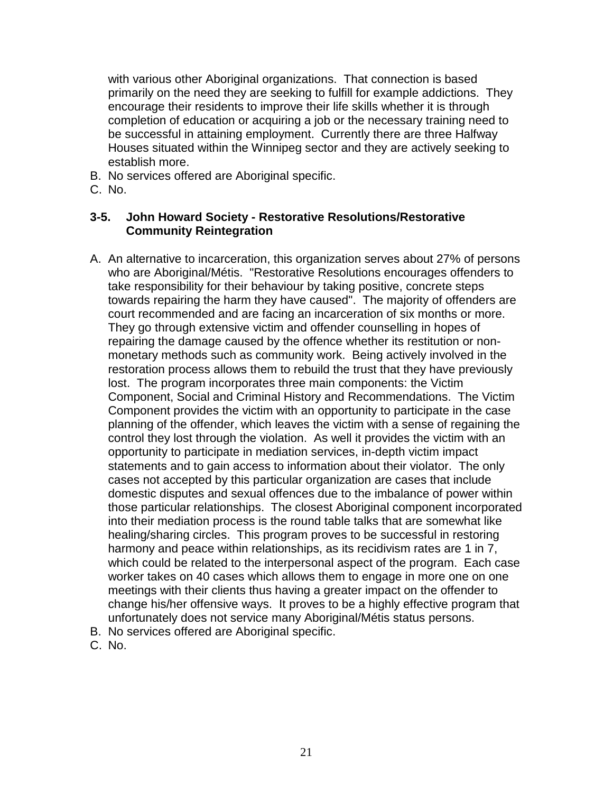with various other Aboriginal organizations. That connection is based primarily on the need they are seeking to fulfill for example addictions. They encourage their residents to improve their life skills whether it is through completion of education or acquiring a job or the necessary training need to be successful in attaining employment. Currently there are three Halfway Houses situated within the Winnipeg sector and they are actively seeking to establish more.

- B. No services offered are Aboriginal specific.
- C. No.

#### **3-5. John Howard Society - Restorative Resolutions/Restorative Community Reintegration**

- A. An alternative to incarceration, this organization serves about 27% of persons who are Aboriginal/Métis. "Restorative Resolutions encourages offenders to take responsibility for their behaviour by taking positive, concrete steps towards repairing the harm they have caused". The majority of offenders are court recommended and are facing an incarceration of six months or more. They go through extensive victim and offender counselling in hopes of repairing the damage caused by the offence whether its restitution or nonmonetary methods such as community work. Being actively involved in the restoration process allows them to rebuild the trust that they have previously lost. The program incorporates three main components: the Victim Component, Social and Criminal History and Recommendations. The Victim Component provides the victim with an opportunity to participate in the case planning of the offender, which leaves the victim with a sense of regaining the control they lost through the violation. As well it provides the victim with an opportunity to participate in mediation services, in-depth victim impact statements and to gain access to information about their violator. The only cases not accepted by this particular organization are cases that include domestic disputes and sexual offences due to the imbalance of power within those particular relationships. The closest Aboriginal component incorporated into their mediation process is the round table talks that are somewhat like healing/sharing circles. This program proves to be successful in restoring harmony and peace within relationships, as its recidivism rates are 1 in 7, which could be related to the interpersonal aspect of the program. Each case worker takes on 40 cases which allows them to engage in more one on one meetings with their clients thus having a greater impact on the offender to change his/her offensive ways. It proves to be a highly effective program that unfortunately does not service many Aboriginal/Métis status persons.
- B. No services offered are Aboriginal specific.
- C. No.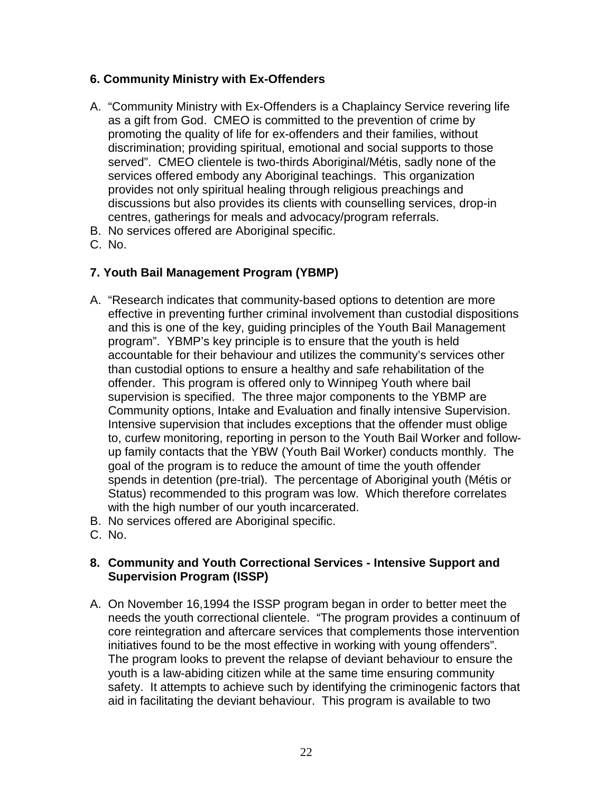## **6. Community Ministry with Ex-Offenders**

- A. "Community Ministry with Ex-Offenders is a Chaplaincy Service revering life as a gift from God. CMEO is committed to the prevention of crime by promoting the quality of life for ex-offenders and their families, without discrimination; providing spiritual, emotional and social supports to those served". CMEO clientele is two-thirds Aboriginal/Métis, sadly none of the services offered embody any Aboriginal teachings. This organization provides not only spiritual healing through religious preachings and discussions but also provides its clients with counselling services, drop-in centres, gatherings for meals and advocacy/program referrals.
- B. No services offered are Aboriginal specific.
- C. No.

## **7. Youth Bail Management Program (YBMP)**

- A. "Research indicates that community-based options to detention are more effective in preventing further criminal involvement than custodial dispositions and this is one of the key, guiding principles of the Youth Bail Management program". YBMP's key principle is to ensure that the youth is held accountable for their behaviour and utilizes the community's services other than custodial options to ensure a healthy and safe rehabilitation of the offender. This program is offered only to Winnipeg Youth where bail supervision is specified. The three major components to the YBMP are Community options, Intake and Evaluation and finally intensive Supervision. Intensive supervision that includes exceptions that the offender must oblige to, curfew monitoring, reporting in person to the Youth Bail Worker and followup family contacts that the YBW (Youth Bail Worker) conducts monthly. The goal of the program is to reduce the amount of time the youth offender spends in detention (pre-trial). The percentage of Aboriginal youth (Métis or Status) recommended to this program was low. Which therefore correlates with the high number of our youth incarcerated.
- B. No services offered are Aboriginal specific.
- C. No.

### **8. Community and Youth Correctional Services - Intensive Support and Supervision Program (ISSP)**

A. On November 16,1994 the ISSP program began in order to better meet the needs the youth correctional clientele. "The program provides a continuum of core reintegration and aftercare services that complements those intervention initiatives found to be the most effective in working with young offenders". The program looks to prevent the relapse of deviant behaviour to ensure the youth is a law-abiding citizen while at the same time ensuring community safety. It attempts to achieve such by identifying the criminogenic factors that aid in facilitating the deviant behaviour. This program is available to two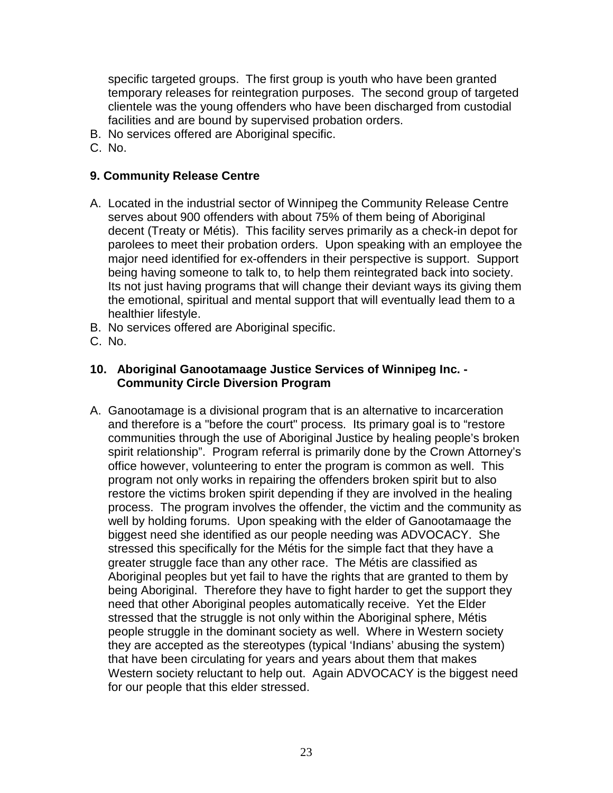specific targeted groups. The first group is youth who have been granted temporary releases for reintegration purposes. The second group of targeted clientele was the young offenders who have been discharged from custodial facilities and are bound by supervised probation orders.

- B. No services offered are Aboriginal specific.
- C. No.

### **9. Community Release Centre**

- A. Located in the industrial sector of Winnipeg the Community Release Centre serves about 900 offenders with about 75% of them being of Aboriginal decent (Treaty or Métis). This facility serves primarily as a check-in depot for parolees to meet their probation orders. Upon speaking with an employee the major need identified for ex-offenders in their perspective is support. Support being having someone to talk to, to help them reintegrated back into society. Its not just having programs that will change their deviant ways its giving them the emotional, spiritual and mental support that will eventually lead them to a healthier lifestyle.
- B. No services offered are Aboriginal specific.
- C. No.

### **10. Aboriginal Ganootamaage Justice Services of Winnipeg Inc. - Community Circle Diversion Program**

A. Ganootamage is a divisional program that is an alternative to incarceration and therefore is a "before the court" process. Its primary goal is to "restore communities through the use of Aboriginal Justice by healing people's broken spirit relationship". Program referral is primarily done by the Crown Attorney's office however, volunteering to enter the program is common as well. This program not only works in repairing the offenders broken spirit but to also restore the victims broken spirit depending if they are involved in the healing process. The program involves the offender, the victim and the community as well by holding forums. Upon speaking with the elder of Ganootamaage the biggest need she identified as our people needing was ADVOCACY. She stressed this specifically for the Métis for the simple fact that they have a greater struggle face than any other race. The Métis are classified as Aboriginal peoples but yet fail to have the rights that are granted to them by being Aboriginal. Therefore they have to fight harder to get the support they need that other Aboriginal peoples automatically receive. Yet the Elder stressed that the struggle is not only within the Aboriginal sphere, Métis people struggle in the dominant society as well. Where in Western society they are accepted as the stereotypes (typical 'Indians' abusing the system) that have been circulating for years and years about them that makes Western society reluctant to help out. Again ADVOCACY is the biggest need for our people that this elder stressed.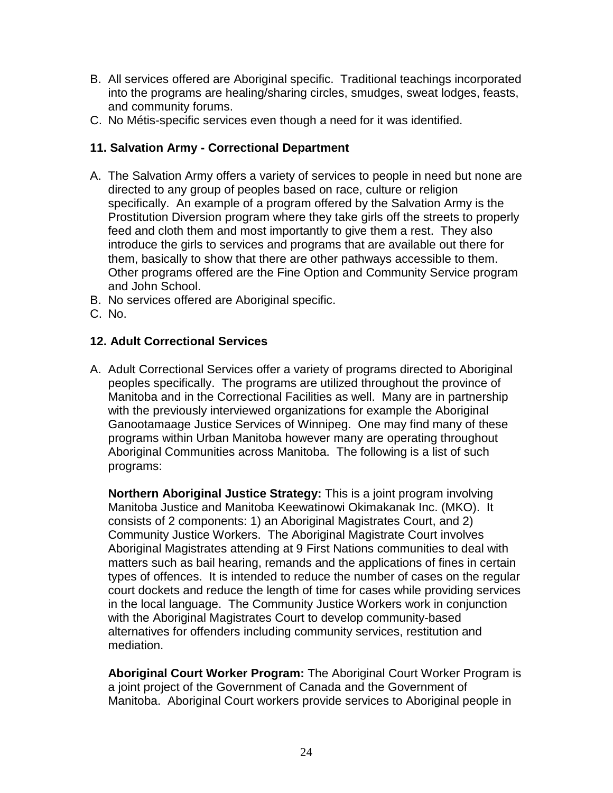- B. All services offered are Aboriginal specific. Traditional teachings incorporated into the programs are healing/sharing circles, smudges, sweat lodges, feasts, and community forums.
- C. No Métis-specific services even though a need for it was identified.

## **11. Salvation Army - Correctional Department**

- A. The Salvation Army offers a variety of services to people in need but none are directed to any group of peoples based on race, culture or religion specifically. An example of a program offered by the Salvation Army is the Prostitution Diversion program where they take girls off the streets to properly feed and cloth them and most importantly to give them a rest. They also introduce the girls to services and programs that are available out there for them, basically to show that there are other pathways accessible to them. Other programs offered are the Fine Option and Community Service program and John School.
- B. No services offered are Aboriginal specific.
- C. No.

## **12. Adult Correctional Services**

A. Adult Correctional Services offer a variety of programs directed to Aboriginal peoples specifically. The programs are utilized throughout the province of Manitoba and in the Correctional Facilities as well. Many are in partnership with the previously interviewed organizations for example the Aboriginal Ganootamaage Justice Services of Winnipeg. One may find many of these programs within Urban Manitoba however many are operating throughout Aboriginal Communities across Manitoba. The following is a list of such programs:

**Northern Aboriginal Justice Strategy:** This is a joint program involving Manitoba Justice and Manitoba Keewatinowi Okimakanak Inc. (MKO). It consists of 2 components: 1) an Aboriginal Magistrates Court, and 2) Community Justice Workers. The Aboriginal Magistrate Court involves Aboriginal Magistrates attending at 9 First Nations communities to deal with matters such as bail hearing, remands and the applications of fines in certain types of offences. It is intended to reduce the number of cases on the regular court dockets and reduce the length of time for cases while providing services in the local language. The Community Justice Workers work in conjunction with the Aboriginal Magistrates Court to develop community-based alternatives for offenders including community services, restitution and mediation.

**Aboriginal Court Worker Program:** The Aboriginal Court Worker Program is a joint project of the Government of Canada and the Government of Manitoba. Aboriginal Court workers provide services to Aboriginal people in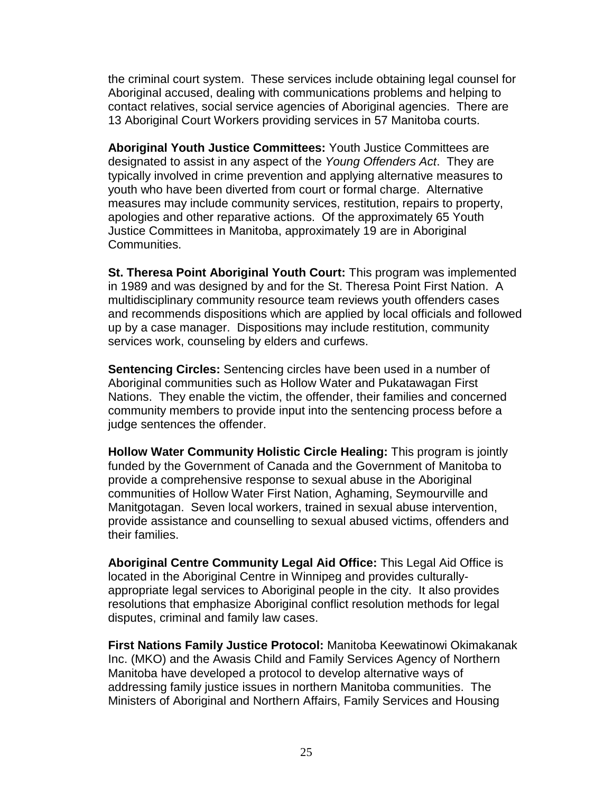the criminal court system. These services include obtaining legal counsel for Aboriginal accused, dealing with communications problems and helping to contact relatives, social service agencies of Aboriginal agencies. There are 13 Aboriginal Court Workers providing services in 57 Manitoba courts.

**Aboriginal Youth Justice Committees:** Youth Justice Committees are designated to assist in any aspect of the *Young Offenders Act*. They are typically involved in crime prevention and applying alternative measures to youth who have been diverted from court or formal charge. Alternative measures may include community services, restitution, repairs to property, apologies and other reparative actions. Of the approximately 65 Youth Justice Committees in Manitoba, approximately 19 are in Aboriginal Communities.

**St. Theresa Point Aboriginal Youth Court:** This program was implemented in 1989 and was designed by and for the St. Theresa Point First Nation. A multidisciplinary community resource team reviews youth offenders cases and recommends dispositions which are applied by local officials and followed up by a case manager. Dispositions may include restitution, community services work, counseling by elders and curfews.

**Sentencing Circles:** Sentencing circles have been used in a number of Aboriginal communities such as Hollow Water and Pukatawagan First Nations. They enable the victim, the offender, their families and concerned community members to provide input into the sentencing process before a judge sentences the offender.

**Hollow Water Community Holistic Circle Healing:** This program is jointly funded by the Government of Canada and the Government of Manitoba to provide a comprehensive response to sexual abuse in the Aboriginal communities of Hollow Water First Nation, Aghaming, Seymourville and Manitgotagan. Seven local workers, trained in sexual abuse intervention, provide assistance and counselling to sexual abused victims, offenders and their families.

**Aboriginal Centre Community Legal Aid Office:** This Legal Aid Office is located in the Aboriginal Centre in Winnipeg and provides culturallyappropriate legal services to Aboriginal people in the city. It also provides resolutions that emphasize Aboriginal conflict resolution methods for legal disputes, criminal and family law cases.

**First Nations Family Justice Protocol:** Manitoba Keewatinowi Okimakanak Inc. (MKO) and the Awasis Child and Family Services Agency of Northern Manitoba have developed a protocol to develop alternative ways of addressing family justice issues in northern Manitoba communities. The Ministers of Aboriginal and Northern Affairs, Family Services and Housing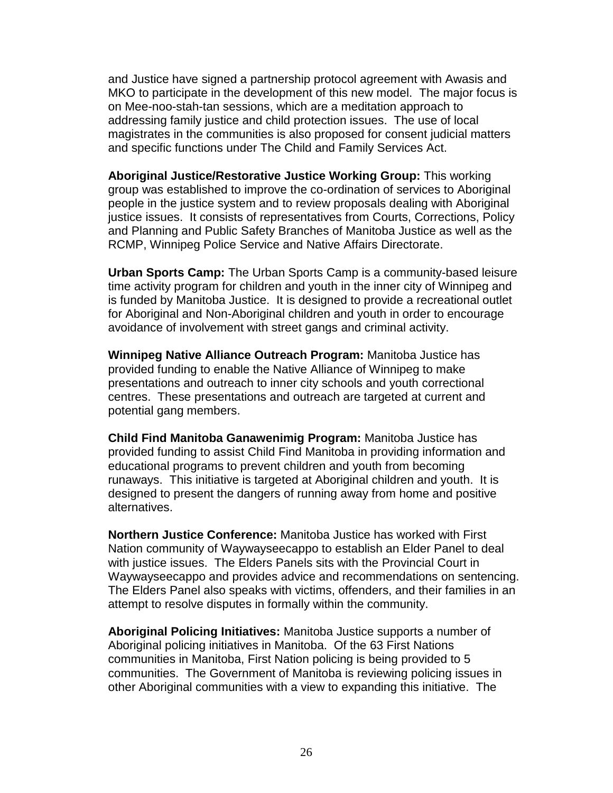and Justice have signed a partnership protocol agreement with Awasis and MKO to participate in the development of this new model. The major focus is on Mee-noo-stah-tan sessions, which are a meditation approach to addressing family justice and child protection issues. The use of local magistrates in the communities is also proposed for consent judicial matters and specific functions under The Child and Family Services Act.

**Aboriginal Justice/Restorative Justice Working Group:** This working group was established to improve the co-ordination of services to Aboriginal people in the justice system and to review proposals dealing with Aboriginal justice issues. It consists of representatives from Courts, Corrections, Policy and Planning and Public Safety Branches of Manitoba Justice as well as the RCMP, Winnipeg Police Service and Native Affairs Directorate.

**Urban Sports Camp:** The Urban Sports Camp is a community-based leisure time activity program for children and youth in the inner city of Winnipeg and is funded by Manitoba Justice. It is designed to provide a recreational outlet for Aboriginal and Non-Aboriginal children and youth in order to encourage avoidance of involvement with street gangs and criminal activity.

**Winnipeg Native Alliance Outreach Program:** Manitoba Justice has provided funding to enable the Native Alliance of Winnipeg to make presentations and outreach to inner city schools and youth correctional centres. These presentations and outreach are targeted at current and potential gang members.

**Child Find Manitoba Ganawenimig Program:** Manitoba Justice has provided funding to assist Child Find Manitoba in providing information and educational programs to prevent children and youth from becoming runaways. This initiative is targeted at Aboriginal children and youth. It is designed to present the dangers of running away from home and positive alternatives.

**Northern Justice Conference:** Manitoba Justice has worked with First Nation community of Waywayseecappo to establish an Elder Panel to deal with justice issues. The Elders Panels sits with the Provincial Court in Waywayseecappo and provides advice and recommendations on sentencing. The Elders Panel also speaks with victims, offenders, and their families in an attempt to resolve disputes in formally within the community.

**Aboriginal Policing Initiatives:** Manitoba Justice supports a number of Aboriginal policing initiatives in Manitoba. Of the 63 First Nations communities in Manitoba, First Nation policing is being provided to 5 communities. The Government of Manitoba is reviewing policing issues in other Aboriginal communities with a view to expanding this initiative. The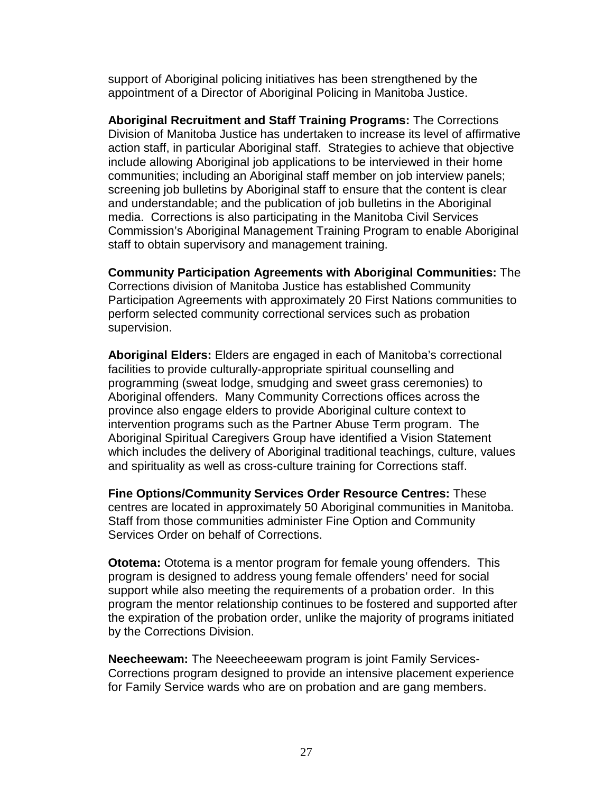support of Aboriginal policing initiatives has been strengthened by the appointment of a Director of Aboriginal Policing in Manitoba Justice.

**Aboriginal Recruitment and Staff Training Programs:** The Corrections Division of Manitoba Justice has undertaken to increase its level of affirmative action staff, in particular Aboriginal staff. Strategies to achieve that objective include allowing Aboriginal job applications to be interviewed in their home communities; including an Aboriginal staff member on job interview panels; screening job bulletins by Aboriginal staff to ensure that the content is clear and understandable; and the publication of job bulletins in the Aboriginal media. Corrections is also participating in the Manitoba Civil Services Commission's Aboriginal Management Training Program to enable Aboriginal staff to obtain supervisory and management training.

**Community Participation Agreements with Aboriginal Communities:** The Corrections division of Manitoba Justice has established Community Participation Agreements with approximately 20 First Nations communities to perform selected community correctional services such as probation supervision.

**Aboriginal Elders:** Elders are engaged in each of Manitoba's correctional facilities to provide culturally-appropriate spiritual counselling and programming (sweat lodge, smudging and sweet grass ceremonies) to Aboriginal offenders. Many Community Corrections offices across the province also engage elders to provide Aboriginal culture context to intervention programs such as the Partner Abuse Term program. The Aboriginal Spiritual Caregivers Group have identified a Vision Statement which includes the delivery of Aboriginal traditional teachings, culture, values and spirituality as well as cross-culture training for Corrections staff.

**Fine Options/Community Services Order Resource Centres:** These centres are located in approximately 50 Aboriginal communities in Manitoba. Staff from those communities administer Fine Option and Community Services Order on behalf of Corrections.

**Ototema:** Ototema is a mentor program for female young offenders. This program is designed to address young female offenders' need for social support while also meeting the requirements of a probation order. In this program the mentor relationship continues to be fostered and supported after the expiration of the probation order, unlike the majority of programs initiated by the Corrections Division.

**Neecheewam:** The Neeecheeewam program is joint Family Services-Corrections program designed to provide an intensive placement experience for Family Service wards who are on probation and are gang members.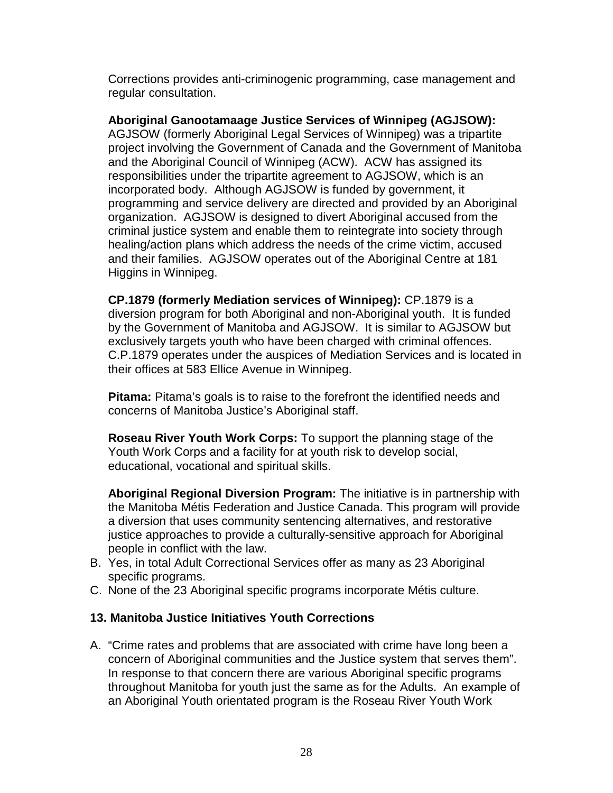Corrections provides anti-criminogenic programming, case management and regular consultation.

**Aboriginal Ganootamaage Justice Services of Winnipeg (AGJSOW):** AGJSOW (formerly Aboriginal Legal Services of Winnipeg) was a tripartite project involving the Government of Canada and the Government of Manitoba and the Aboriginal Council of Winnipeg (ACW). ACW has assigned its responsibilities under the tripartite agreement to AGJSOW, which is an incorporated body. Although AGJSOW is funded by government, it programming and service delivery are directed and provided by an Aboriginal organization. AGJSOW is designed to divert Aboriginal accused from the criminal justice system and enable them to reintegrate into society through healing/action plans which address the needs of the crime victim, accused and their families. AGJSOW operates out of the Aboriginal Centre at 181 Higgins in Winnipeg.

**CP.1879 (formerly Mediation services of Winnipeg):** CP.1879 is a diversion program for both Aboriginal and non-Aboriginal youth. It is funded by the Government of Manitoba and AGJSOW. It is similar to AGJSOW but exclusively targets youth who have been charged with criminal offences. C.P.1879 operates under the auspices of Mediation Services and is located in their offices at 583 Ellice Avenue in Winnipeg.

**Pitama:** Pitama's goals is to raise to the forefront the identified needs and concerns of Manitoba Justice's Aboriginal staff.

**Roseau River Youth Work Corps:** To support the planning stage of the Youth Work Corps and a facility for at youth risk to develop social, educational, vocational and spiritual skills.

**Aboriginal Regional Diversion Program:** The initiative is in partnership with the Manitoba Métis Federation and Justice Canada. This program will provide a diversion that uses community sentencing alternatives, and restorative justice approaches to provide a culturally-sensitive approach for Aboriginal people in conflict with the law.

- B. Yes, in total Adult Correctional Services offer as many as 23 Aboriginal specific programs.
- C. None of the 23 Aboriginal specific programs incorporate Métis culture.

## **13. Manitoba Justice Initiatives Youth Corrections**

A. "Crime rates and problems that are associated with crime have long been a concern of Aboriginal communities and the Justice system that serves them". In response to that concern there are various Aboriginal specific programs throughout Manitoba for youth just the same as for the Adults. An example of an Aboriginal Youth orientated program is the Roseau River Youth Work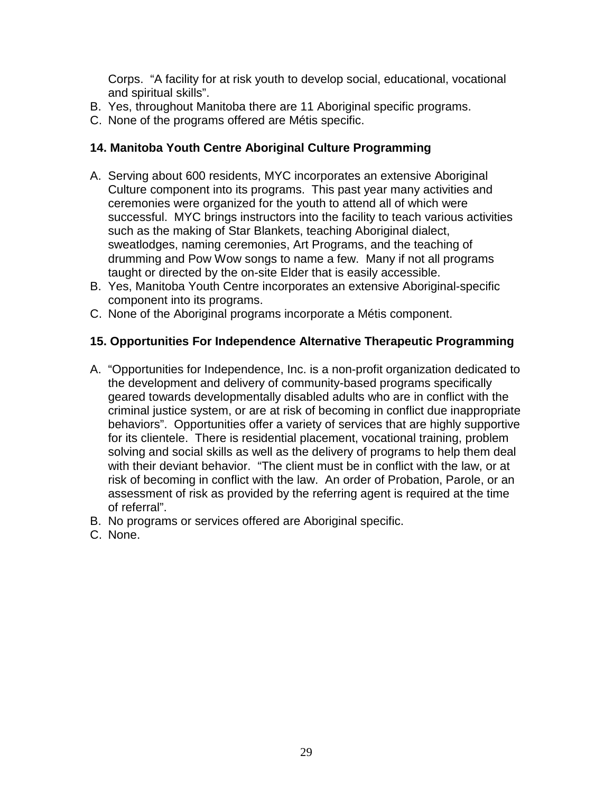Corps. "A facility for at risk youth to develop social, educational, vocational and spiritual skills".

- B. Yes, throughout Manitoba there are 11 Aboriginal specific programs.
- C. None of the programs offered are Métis specific.

#### **14. Manitoba Youth Centre Aboriginal Culture Programming**

- A. Serving about 600 residents, MYC incorporates an extensive Aboriginal Culture component into its programs. This past year many activities and ceremonies were organized for the youth to attend all of which were successful. MYC brings instructors into the facility to teach various activities such as the making of Star Blankets, teaching Aboriginal dialect, sweatlodges, naming ceremonies, Art Programs, and the teaching of drumming and Pow Wow songs to name a few. Many if not all programs taught or directed by the on-site Elder that is easily accessible.
- B. Yes, Manitoba Youth Centre incorporates an extensive Aboriginal-specific component into its programs.
- C. None of the Aboriginal programs incorporate a Métis component.

#### **15. Opportunities For Independence Alternative Therapeutic Programming**

- A. "Opportunities for Independence, Inc. is a non-profit organization dedicated to the development and delivery of community-based programs specifically geared towards developmentally disabled adults who are in conflict with the criminal justice system, or are at risk of becoming in conflict due inappropriate behaviors". Opportunities offer a variety of services that are highly supportive for its clientele. There is residential placement, vocational training, problem solving and social skills as well as the delivery of programs to help them deal with their deviant behavior. "The client must be in conflict with the law, or at risk of becoming in conflict with the law. An order of Probation, Parole, or an assessment of risk as provided by the referring agent is required at the time of referral".
- B. No programs or services offered are Aboriginal specific.
- C. None.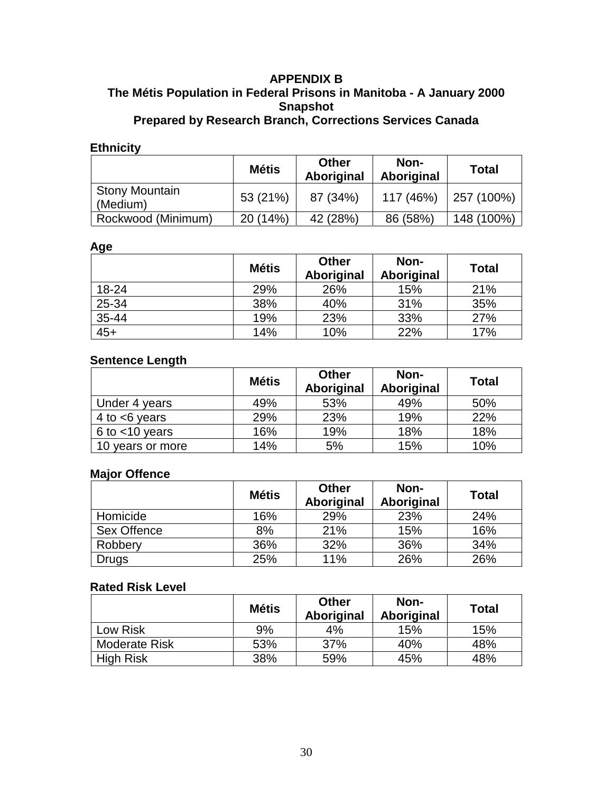#### <span id="page-34-0"></span>**APPENDIX B The Métis Population in Federal Prisons in Manitoba - A January 2000 Snapshot Prepared by Research Branch, Corrections Services Canada**

## **Ethnicity**

|                                   | <b>Métis</b> | <b>Other</b><br>Aboriginal | Non-<br>Aboriginal | <b>Total</b> |
|-----------------------------------|--------------|----------------------------|--------------------|--------------|
| <b>Stony Mountain</b><br>(Medium) | 53 (21%)     | 87 (34%)                   | 117 (46%)          | 257 (100%)   |
| Rockwood (Minimum)                | 20 (14%)     | 42 (28%)                   | 86 (58%)           | 148 (100%)   |

#### **Age**

|       | <b>Métis</b> | <b>Other</b><br>Aboriginal | Non-<br>Aboriginal | <b>Total</b> |
|-------|--------------|----------------------------|--------------------|--------------|
| 18-24 | 29%          | 26%                        | 15%                | 21%          |
| 25-34 | 38%          | 40%                        | 31%                | 35%          |
| 35-44 | 19%          | 23%                        | 33%                | 27%          |
| $45+$ | 14%          | 10%                        | 22%                | 17%          |

## **Sentence Length**

|                     | <b>Métis</b> | <b>Other</b><br>Aboriginal | Non-<br>Aboriginal | <b>Total</b> |
|---------------------|--------------|----------------------------|--------------------|--------------|
| Under 4 years       | 49%          | 53%                        | 49%                | 50%          |
| 4 to $<6$ years     | 29%          | 23%                        | 19%                | 22%          |
| $6$ to $<$ 10 years | 16%          | 19%                        | 18%                | 18%          |
| 10 years or more    | 14%          | 5%                         | 15%                | 10%          |

#### **Major Offence**

| <b>HAPL</b> THE    | <b>Métis</b> | <b>Other</b><br>Aboriginal | Non-<br>Aboriginal | <b>Total</b> |
|--------------------|--------------|----------------------------|--------------------|--------------|
| Homicide           | 16%          | 29%                        | 23%                | 24%          |
| <b>Sex Offence</b> | 8%           | 21%                        | 15%                | 16%          |
| Robbery            | 36%          | 32%                        | 36%                | 34%          |
| <b>Drugs</b>       | 25%          | 11%                        | 26%                | 26%          |

### **Rated Risk Level**

|                      | <b>Métis</b> | <b>Other</b><br>Aboriginal | Non-<br>Aboriginal | <b>Total</b> |
|----------------------|--------------|----------------------------|--------------------|--------------|
| Low Risk             | 9%           | 4%                         | 15%                | 15%          |
| <b>Moderate Risk</b> | 53%          | 37%                        | 40%                | 48%          |
| <b>High Risk</b>     | 38%          | 59%                        | 45%                | 48%          |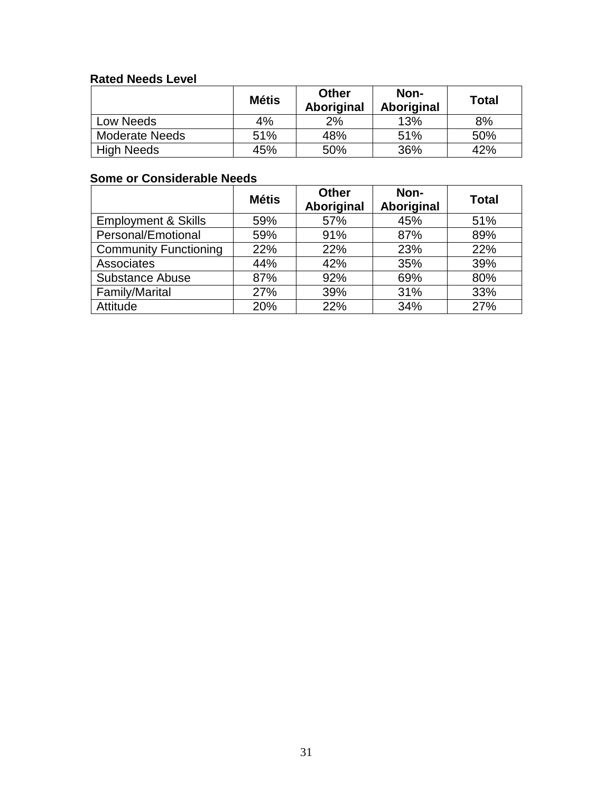## **Rated Needs Level**

| nalua nuuas Euvui     |              |                     |                    |              |  |  |
|-----------------------|--------------|---------------------|--------------------|--------------|--|--|
|                       | <b>Métis</b> | Other<br>Aboriginal | Non-<br>Aboriginal | <b>Total</b> |  |  |
| Low Needs             | 4%           | 2%                  | 13%                | 8%           |  |  |
| <b>Moderate Needs</b> | 51%          | 48%                 | 51%                | 50%          |  |  |
| <b>High Needs</b>     | 45%          | 50%                 | 36%                | 42%          |  |  |

# **Some or Considerable Needs**

|                                | <b>Métis</b> | <b>Other</b><br>Aboriginal | Non-<br>Aboriginal | <b>Total</b> |
|--------------------------------|--------------|----------------------------|--------------------|--------------|
| <b>Employment &amp; Skills</b> | 59%          | 57%                        | 45%                | 51%          |
| Personal/Emotional             | 59%          | 91%                        | 87%                | 89%          |
| <b>Community Functioning</b>   | 22%          | 22%                        | 23%                | 22%          |
| Associates                     | 44%          | 42%                        | 35%                | 39%          |
| <b>Substance Abuse</b>         | 87%          | 92%                        | 69%                | 80%          |
| Family/Marital                 | 27%          | 39%                        | 31%                | 33%          |
| Attitude                       | 20%          | 22%                        | 34%                | 27%          |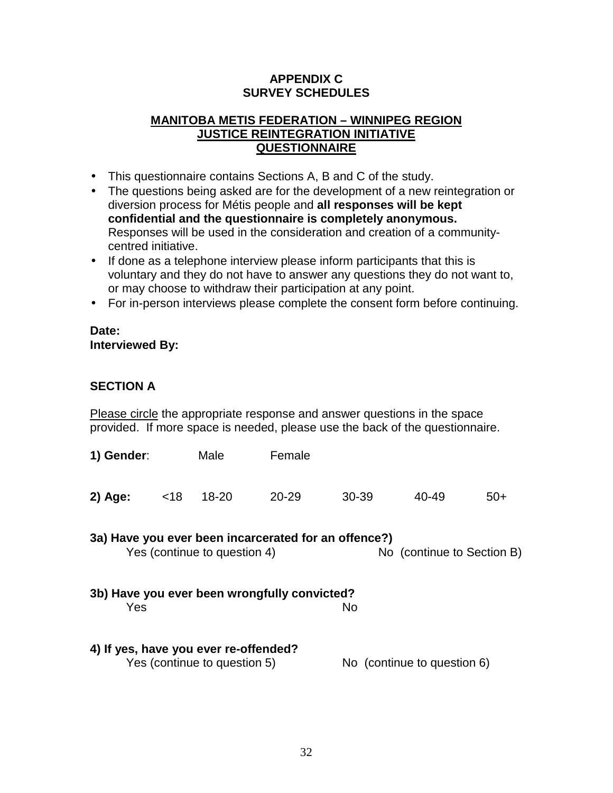## **APPENDIX C SURVEY SCHEDULES**

## <span id="page-36-0"></span>**MANITOBA METIS FEDERATION – WINNIPEG REGION JUSTICE REINTEGRATION INITIATIVE QUESTIONNAIRE**

- This questionnaire contains Sections A, B and C of the study.
- The questions being asked are for the development of a new reintegration or diversion process for Métis people and **all responses will be kept confidential and the questionnaire is completely anonymous.** Responses will be used in the consideration and creation of a communitycentred initiative.
- If done as a telephone interview please inform participants that this is voluntary and they do not have to answer any questions they do not want to, or may choose to withdraw their participation at any point.
- For in-person interviews please complete the consent form before continuing.

#### **Date: Interviewed By:**

## **SECTION A**

Please circle the appropriate response and answer questions in the space provided. If more space is needed, please use the back of the questionnaire.

| 1) Gender:                                                                                                         |      | Male                                                                  | Female |       |                             |       |
|--------------------------------------------------------------------------------------------------------------------|------|-----------------------------------------------------------------------|--------|-------|-----------------------------|-------|
| $2)$ Age:                                                                                                          | < 18 | $18 - 20$                                                             | 20-29  | 30-39 | 40-49                       | $50+$ |
| 3a) Have you ever been incarcerated for an offence?)<br>Yes (continue to question 4)<br>No (continue to Section B) |      |                                                                       |        |       |                             |       |
| 3b) Have you ever been wrongfully convicted?<br>Yes<br>No                                                          |      |                                                                       |        |       |                             |       |
|                                                                                                                    |      | 4) If yes, have you ever re-offended?<br>Yes (continue to question 5) |        |       | No (continue to question 6) |       |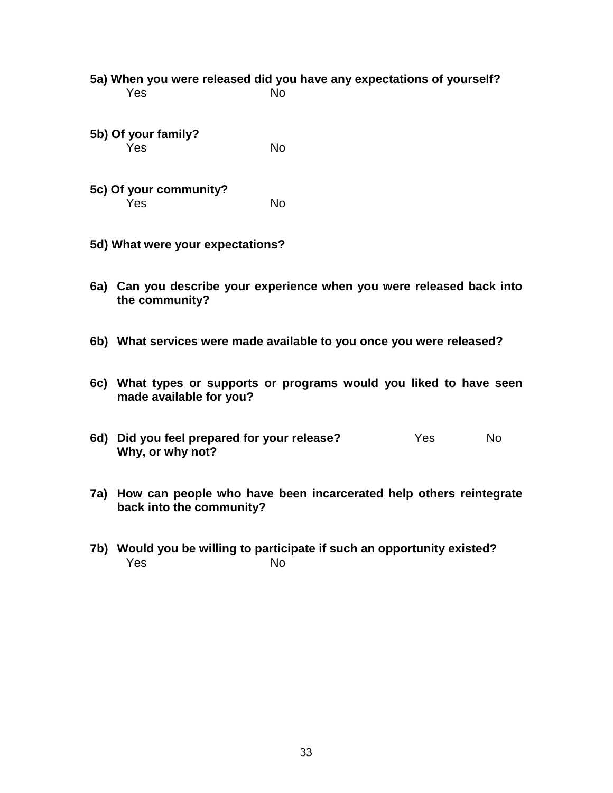|     | 5a) When you were released did you have any expectations of yourself?<br>Yes                   | <b>No</b> |     |           |
|-----|------------------------------------------------------------------------------------------------|-----------|-----|-----------|
|     | 5b) Of your family?<br>Yes                                                                     | <b>No</b> |     |           |
|     | 5c) Of your community?<br>Yes                                                                  | <b>No</b> |     |           |
|     | 5d) What were your expectations?                                                               |           |     |           |
|     | 6a) Can you describe your experience when you were released back into<br>the community?        |           |     |           |
|     | 6b) What services were made available to you once you were released?                           |           |     |           |
|     | 6c) What types or supports or programs would you liked to have seen<br>made available for you? |           |     |           |
|     | 6d) Did you feel prepared for your release?<br>Why, or why not?                                |           | Yes | <b>No</b> |
| 7a) | How can people who have been incarcerated help others reintegrate<br>back into the community?  |           |     |           |

**7b) Would you be willing to participate if such an opportunity existed?** Yes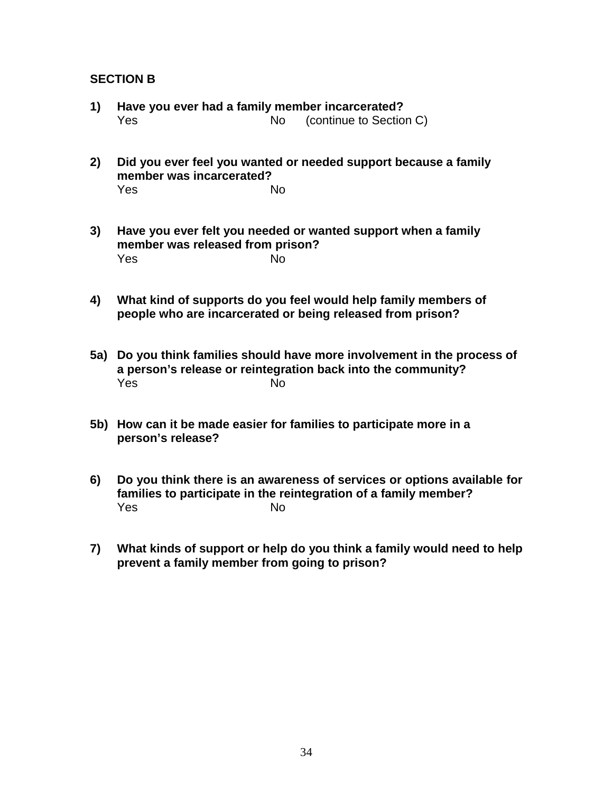### **SECTION B**

- **1) Have you ever had a family member incarcerated?** Yes No (continue to Section C)
- **2) Did you ever feel you wanted or needed support because a family member was incarcerated?** Yes No
- **3) Have you ever felt you needed or wanted support when a family member was released from prison?** Yes No
- **4) What kind of supports do you feel would help family members of people who are incarcerated or being released from prison?**
- **5a) Do you think families should have more involvement in the process of a person's release or reintegration back into the community?** Yes No
- **5b) How can it be made easier for families to participate more in a person's release?**
- **6) Do you think there is an awareness of services or options available for families to participate in the reintegration of a family member?** Yes No
- **7) What kinds of support or help do you think a family would need to help prevent a family member from going to prison?**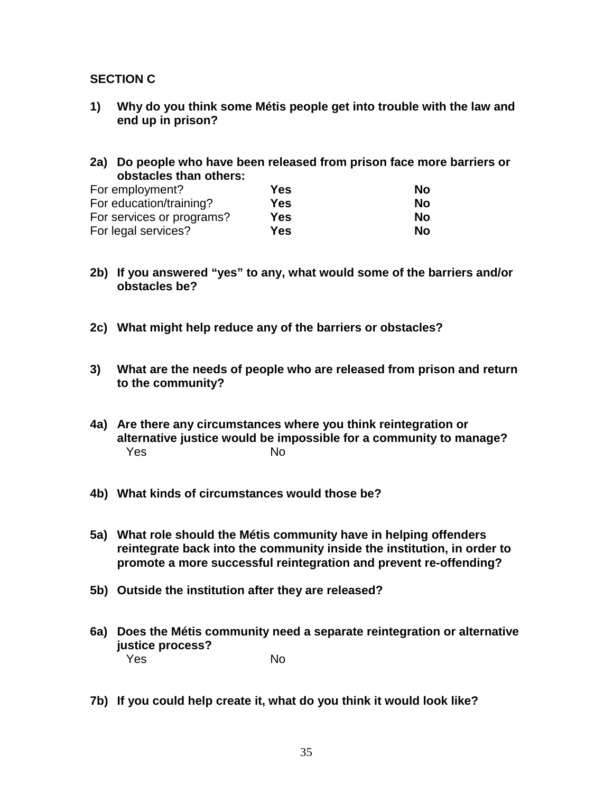### **SECTION C**

- **1) Why do you think some Métis people get into trouble with the law and end up in prison?**
- **2a) Do people who have been released from prison face more barriers or obstacles than others:**

| For employment?           | Yes | No |
|---------------------------|-----|----|
| For education/training?   | Yes | No |
| For services or programs? | Yes | Nο |
| For legal services?       | Yes | No |

- **2b) If you answered "yes" to any, what would some of the barriers and/or obstacles be?**
- **2c) What might help reduce any of the barriers or obstacles?**
- **3) What are the needs of people who are released from prison and return to the community?**
- **4a) Are there any circumstances where you think reintegration or alternative justice would be impossible for a community to manage?** Yes No
- **4b) What kinds of circumstances would those be?**
- **5a) What role should the Métis community have in helping offenders reintegrate back into the community inside the institution, in order to promote a more successful reintegration and prevent re-offending?**
- **5b) Outside the institution after they are released?**
- **6a) Does the Métis community need a separate reintegration or alternative justice process?** Yes No
- **7b) If you could help create it, what do you think it would look like?**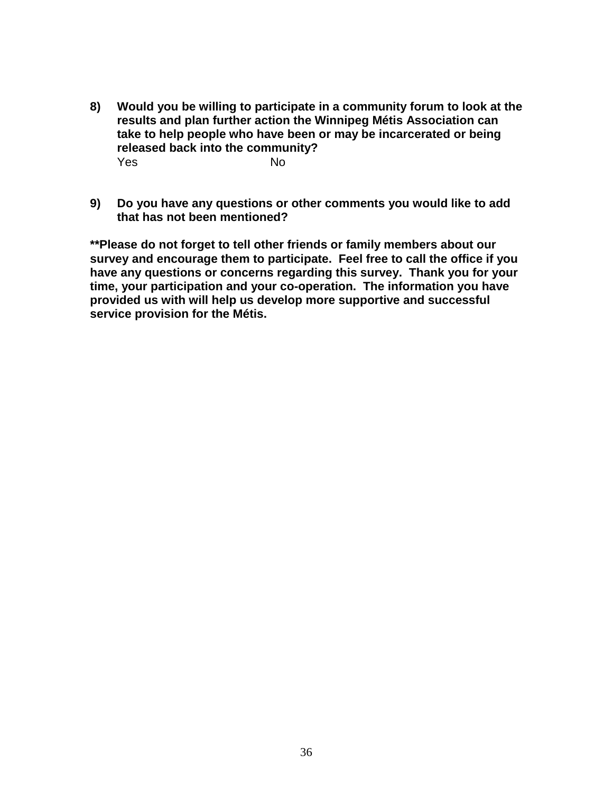- **8) Would you be willing to participate in a community forum to look at the results and plan further action the Winnipeg Métis Association can take to help people who have been or may be incarcerated or being released back into the community?** Yes No
- **9) Do you have any questions or other comments you would like to add that has not been mentioned?**

**\*\*Please do not forget to tell other friends or family members about our survey and encourage them to participate. Feel free to call the office if you have any questions or concerns regarding this survey. Thank you for your time, your participation and your co-operation. The information you have provided us with will help us develop more supportive and successful service provision for the Métis.**